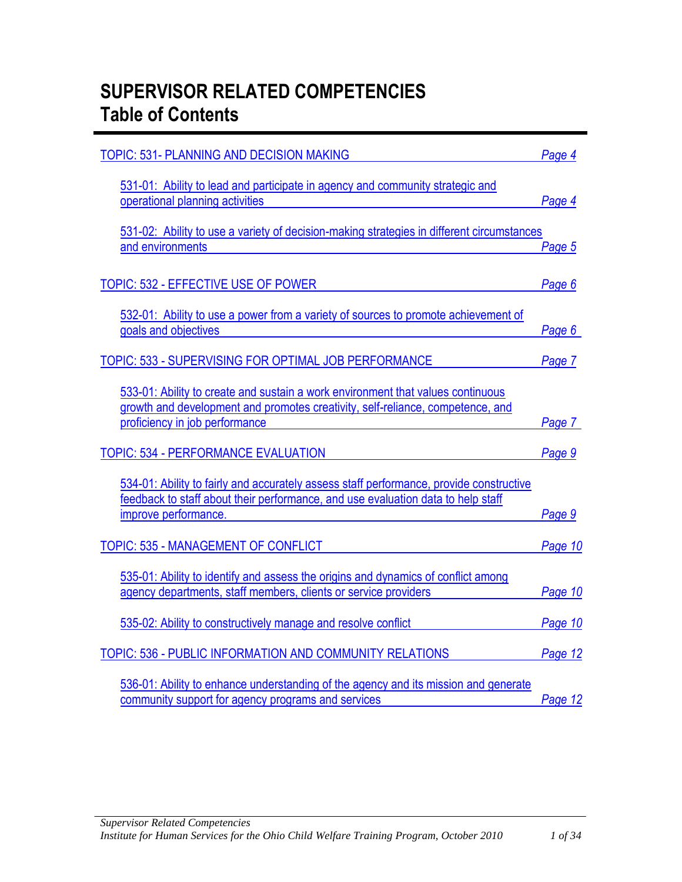# **SUPERVISOR RELATED COMPETENCIES Table of Contents**

| <b>TOPIC: 531- PLANNING AND DECISION MAKING</b>                                                                                                                                                     | Page 4  |
|-----------------------------------------------------------------------------------------------------------------------------------------------------------------------------------------------------|---------|
| 531-01: Ability to lead and participate in agency and community strategic and<br>operational planning activities                                                                                    | Page 4  |
| 531-02: Ability to use a variety of decision-making strategies in different circumstances<br>and environments                                                                                       | Page 5  |
| TOPIC: 532 - EFFECTIVE USE OF POWER                                                                                                                                                                 | Page 6  |
| 532-01: Ability to use a power from a variety of sources to promote achievement of<br>goals and objectives                                                                                          | Page 6  |
| TOPIC: 533 - SUPERVISING FOR OPTIMAL JOB PERFORMANCE                                                                                                                                                | Page 7  |
| 533-01: Ability to create and sustain a work environment that values continuous<br>growth and development and promotes creativity, self-reliance, competence, and<br>proficiency in job performance | Page 7  |
| <b>TOPIC: 534 - PERFORMANCE EVALUATION</b>                                                                                                                                                          | Page 9  |
| 534-01: Ability to fairly and accurately assess staff performance, provide constructive<br>feedback to staff about their performance, and use evaluation data to help staff<br>improve performance. | Page 9  |
| <b>TOPIC: 535 - MANAGEMENT OF CONFLICT</b>                                                                                                                                                          | Page 10 |
| 535-01: Ability to identify and assess the origins and dynamics of conflict among<br>agency departments, staff members, clients or service providers                                                | Page 10 |
| 535-02: Ability to constructively manage and resolve conflict                                                                                                                                       | Page 10 |
| TOPIC: 536 - PUBLIC INFORMATION AND COMMUNITY RELATIONS                                                                                                                                             | Page 12 |
| 536-01: Ability to enhance understanding of the agency and its mission and generate<br>community support for agency programs and services                                                           | Page 12 |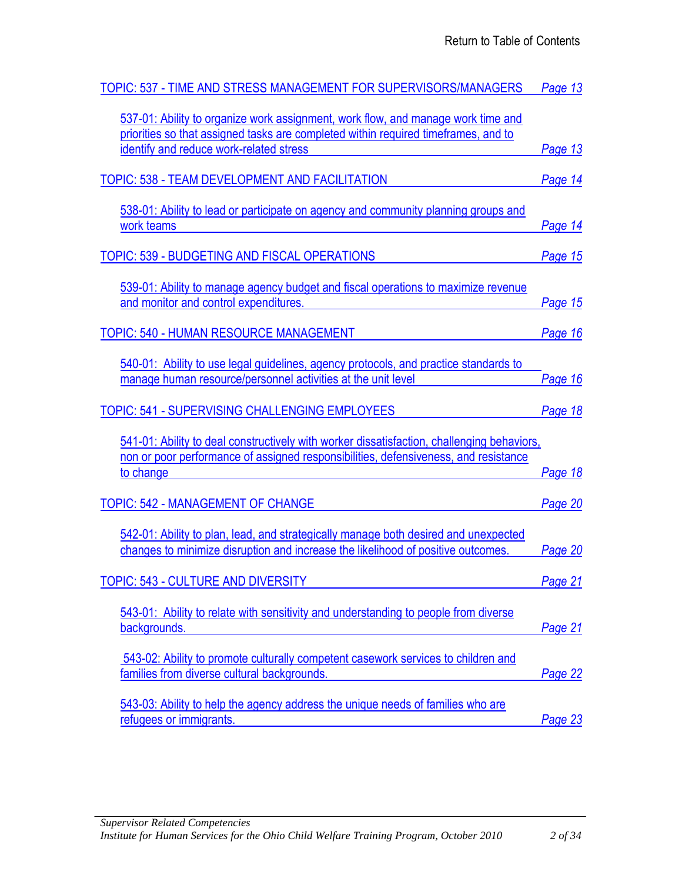| TOPIC: 537 - TIME AND STRESS MANAGEMENT FOR SUPERVISORS/MANAGERS                                                                                                                  | Page 13        |
|-----------------------------------------------------------------------------------------------------------------------------------------------------------------------------------|----------------|
| 537-01: Ability to organize work assignment, work flow, and manage work time and<br>priorities so that assigned tasks are completed within required timeframes, and to            |                |
| identify and reduce work-related stress                                                                                                                                           | Page 13        |
| TOPIC: 538 - TEAM DEVELOPMENT AND FACILITATION                                                                                                                                    | Page 14        |
| 538-01: Ability to lead or participate on agency and community planning groups and<br>work teams                                                                                  | <b>Page 14</b> |
| TOPIC: 539 - BUDGETING AND FISCAL OPERATIONS                                                                                                                                      | Page 15        |
| 539-01: Ability to manage agency budget and fiscal operations to maximize revenue<br>and monitor and control expenditures.                                                        | Page 15        |
| <b>TOPIC: 540 - HUMAN RESOURCE MANAGEMENT</b>                                                                                                                                     | Page 16        |
| 540-01: Ability to use legal guidelines, agency protocols, and practice standards to<br>manage human resource/personnel activities at the unit level                              | Page 16        |
| TOPIC: 541 - SUPERVISING CHALLENGING EMPLOYEES                                                                                                                                    | Page 18        |
| 541-01: Ability to deal constructively with worker dissatisfaction, challenging behaviors,<br>non or poor performance of assigned responsibilities, defensiveness, and resistance |                |
| to change                                                                                                                                                                         | Page 18        |
| <b>TOPIC: 542 - MANAGEMENT OF CHANGE</b>                                                                                                                                          | Page 20        |
| 542-01: Ability to plan, lead, and strategically manage both desired and unexpected<br>changes to minimize disruption and increase the likelihood of positive outcomes.           | Page 20        |
| TOPIC: 543 - CULTURE AND DIVERSITY                                                                                                                                                | Page 21        |
| 543-01: Ability to relate with sensitivity and understanding to people from diverse<br>backgrounds.                                                                               | Page 21        |
| 543-02: Ability to promote culturally competent casework services to children and<br>families from diverse cultural backgrounds.                                                  | Page 22        |
| 543-03: Ability to help the agency address the unique needs of families who are<br>refugees or immigrants.                                                                        | Page 23        |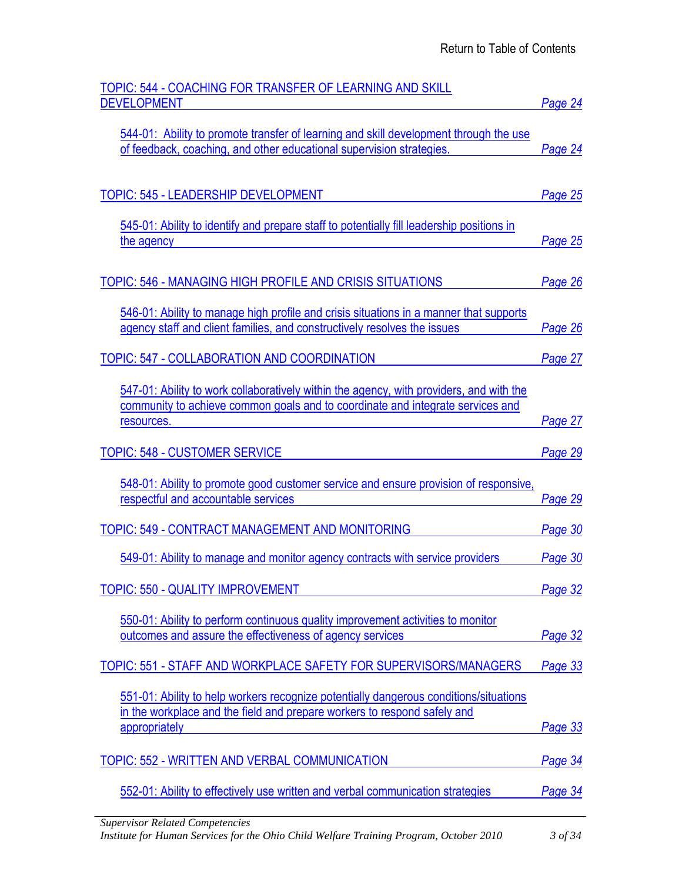| TOPIC: 544 - COACHING FOR TRANSFER OF LEARNING AND SKILL<br><b>DEVELOPMENT</b>                                                                                    | Page 24 |
|-------------------------------------------------------------------------------------------------------------------------------------------------------------------|---------|
|                                                                                                                                                                   |         |
| 544-01: Ability to promote transfer of learning and skill development through the use<br>of feedback, coaching, and other educational supervision strategies.     | Page 24 |
|                                                                                                                                                                   |         |
| <b>TOPIC: 545 - LEADERSHIP DEVELOPMENT</b>                                                                                                                        | Page 25 |
| 545-01: Ability to identify and prepare staff to potentially fill leadership positions in                                                                         |         |
| the agency                                                                                                                                                        | Page 25 |
|                                                                                                                                                                   |         |
| TOPIC: 546 - MANAGING HIGH PROFILE AND CRISIS SITUATIONS                                                                                                          | Page 26 |
| 546-01: Ability to manage high profile and crisis situations in a manner that supports                                                                            |         |
| agency staff and client families, and constructively resolves the issues                                                                                          | Page 26 |
| TOPIC: 547 - COLLABORATION AND COORDINATION                                                                                                                       | Page 27 |
| 547-01: Ability to work collaboratively within the agency, with providers, and with the                                                                           |         |
| community to achieve common goals and to coordinate and integrate services and<br>resources.                                                                      | Page 27 |
|                                                                                                                                                                   |         |
| <b>TOPIC: 548 - CUSTOMER SERVICE</b>                                                                                                                              | Page 29 |
|                                                                                                                                                                   |         |
| 548-01: Ability to promote good customer service and ensure provision of responsive,                                                                              |         |
| respectful and accountable services                                                                                                                               | Page 29 |
| TOPIC: 549 - CONTRACT MANAGEMENT AND MONITORING                                                                                                                   | Page 30 |
| 549-01: Ability to manage and monitor agency contracts with service providers                                                                                     | Page 30 |
| <b>TOPIC: 550 - QUALITY IMPROVEMENT</b>                                                                                                                           | Page 32 |
|                                                                                                                                                                   |         |
| 550-01: Ability to perform continuous quality improvement activities to monitor<br>outcomes and assure the effectiveness of agency services                       | Page 32 |
| TOPIC: 551 - STAFF AND WORKPLACE SAFETY FOR SUPERVISORS/MANAGERS                                                                                                  | Page 33 |
|                                                                                                                                                                   |         |
| 551-01: Ability to help workers recognize potentially dangerous conditions/situations<br>in the workplace and the field and prepare workers to respond safely and |         |
| appropriately                                                                                                                                                     | Page 33 |
| TOPIC: 552 - WRITTEN AND VERBAL COMMUNICATION                                                                                                                     | Page 34 |
|                                                                                                                                                                   |         |
| 552-01: Ability to effectively use written and verbal communication strategies<br><b>Supervisor Related Competencies</b>                                          | Page 34 |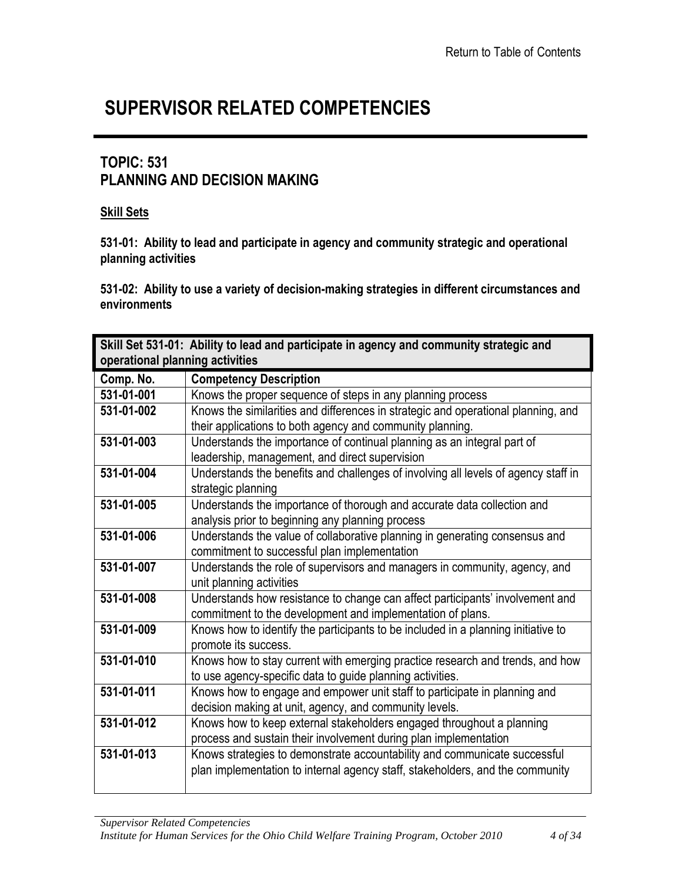# **SUPERVISOR RELATED COMPETENCIES**

### <span id="page-3-0"></span>**TOPIC: 531 PLANNING AND DECISION MAKING**

#### **Skill Sets**

**531-01: Ability to lead and participate in agency and community strategic and operational planning activities**

**531-02: Ability to use a variety of decision-making strategies in different circumstances and environments**

<span id="page-3-1"></span>

|                                 | Skill Set 531-01: Ability to lead and participate in agency and community strategic and |
|---------------------------------|-----------------------------------------------------------------------------------------|
| operational planning activities |                                                                                         |
| Comp. No.                       | <b>Competency Description</b>                                                           |
| 531-01-001                      | Knows the proper sequence of steps in any planning process                              |
| 531-01-002                      | Knows the similarities and differences in strategic and operational planning, and       |
|                                 | their applications to both agency and community planning.                               |
| 531-01-003                      | Understands the importance of continual planning as an integral part of                 |
|                                 | leadership, management, and direct supervision                                          |
| 531-01-004                      | Understands the benefits and challenges of involving all levels of agency staff in      |
|                                 | strategic planning                                                                      |
| 531-01-005                      | Understands the importance of thorough and accurate data collection and                 |
|                                 | analysis prior to beginning any planning process                                        |
| 531-01-006                      | Understands the value of collaborative planning in generating consensus and             |
|                                 | commitment to successful plan implementation                                            |
| 531-01-007                      | Understands the role of supervisors and managers in community, agency, and              |
|                                 | unit planning activities                                                                |
| 531-01-008                      | Understands how resistance to change can affect participants' involvement and           |
|                                 | commitment to the development and implementation of plans.                              |
| 531-01-009                      | Knows how to identify the participants to be included in a planning initiative to       |
|                                 | promote its success.                                                                    |
| 531-01-010                      | Knows how to stay current with emerging practice research and trends, and how           |
|                                 | to use agency-specific data to guide planning activities.                               |
| 531-01-011                      | Knows how to engage and empower unit staff to participate in planning and               |
|                                 | decision making at unit, agency, and community levels.                                  |
| 531-01-012                      | Knows how to keep external stakeholders engaged throughout a planning                   |
|                                 | process and sustain their involvement during plan implementation                        |
| 531-01-013                      | Knows strategies to demonstrate accountability and communicate successful               |
|                                 | plan implementation to internal agency staff, stakeholders, and the community           |
|                                 |                                                                                         |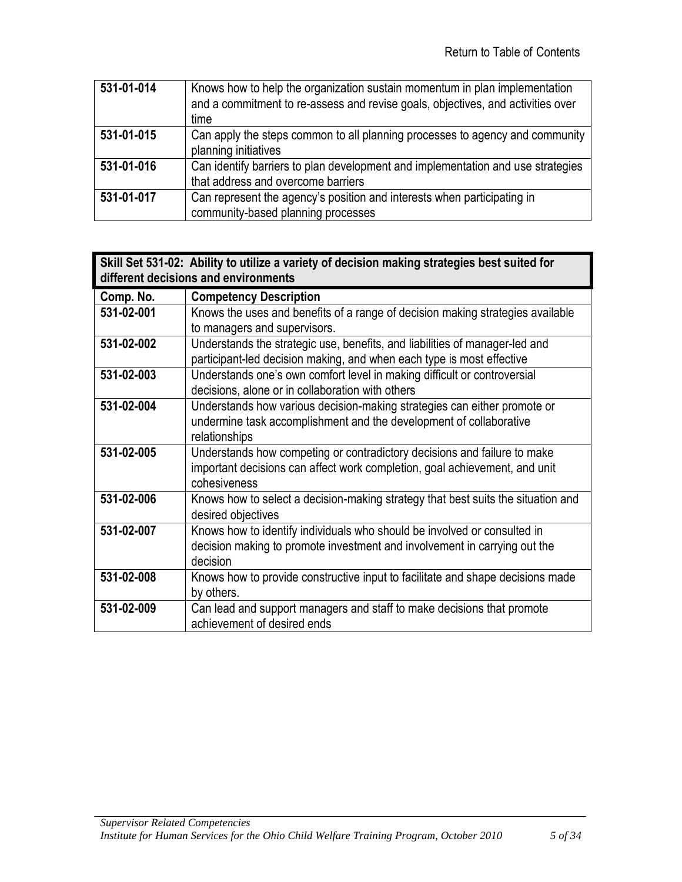| 531-01-014 | Knows how to help the organization sustain momentum in plan implementation<br>and a commitment to re-assess and revise goals, objectives, and activities over<br>time |
|------------|-----------------------------------------------------------------------------------------------------------------------------------------------------------------------|
| 531-01-015 | Can apply the steps common to all planning processes to agency and community<br>planning initiatives                                                                  |
| 531-01-016 | Can identify barriers to plan development and implementation and use strategies<br>that address and overcome barriers                                                 |
| 531-01-017 | Can represent the agency's position and interests when participating in<br>community-based planning processes                                                         |

<span id="page-4-0"></span>

|            | Skill Set 531-02: Ability to utilize a variety of decision making strategies best suited for<br>different decisions and environments                                   |
|------------|------------------------------------------------------------------------------------------------------------------------------------------------------------------------|
| Comp. No.  | <b>Competency Description</b>                                                                                                                                          |
| 531-02-001 | Knows the uses and benefits of a range of decision making strategies available<br>to managers and supervisors.                                                         |
| 531-02-002 | Understands the strategic use, benefits, and liabilities of manager-led and<br>participant-led decision making, and when each type is most effective                   |
| 531-02-003 | Understands one's own comfort level in making difficult or controversial<br>decisions, alone or in collaboration with others                                           |
| 531-02-004 | Understands how various decision-making strategies can either promote or<br>undermine task accomplishment and the development of collaborative<br>relationships        |
| 531-02-005 | Understands how competing or contradictory decisions and failure to make<br>important decisions can affect work completion, goal achievement, and unit<br>cohesiveness |
| 531-02-006 | Knows how to select a decision-making strategy that best suits the situation and<br>desired objectives                                                                 |
| 531-02-007 | Knows how to identify individuals who should be involved or consulted in<br>decision making to promote investment and involvement in carrying out the<br>decision      |
| 531-02-008 | Knows how to provide constructive input to facilitate and shape decisions made<br>by others.                                                                           |
| 531-02-009 | Can lead and support managers and staff to make decisions that promote<br>achievement of desired ends                                                                  |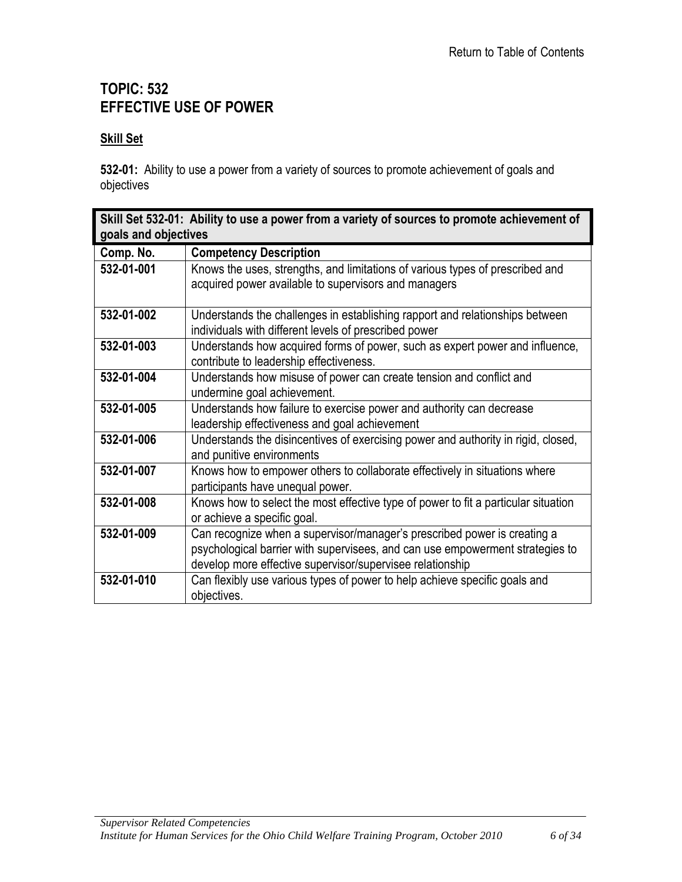### <span id="page-5-0"></span>**TOPIC: 532 EFFECTIVE USE OF POWER**

#### **Skill Set**

**532-01:** Ability to use a power from a variety of sources to promote achievement of goals and objectives

<span id="page-5-1"></span>

| Skill Set 532-01: Ability to use a power from a variety of sources to promote achievement of<br>goals and objectives |                                                                                                                                                                                                                        |
|----------------------------------------------------------------------------------------------------------------------|------------------------------------------------------------------------------------------------------------------------------------------------------------------------------------------------------------------------|
| Comp. No.                                                                                                            | <b>Competency Description</b>                                                                                                                                                                                          |
| 532-01-001                                                                                                           | Knows the uses, strengths, and limitations of various types of prescribed and<br>acquired power available to supervisors and managers                                                                                  |
| 532-01-002                                                                                                           | Understands the challenges in establishing rapport and relationships between<br>individuals with different levels of prescribed power                                                                                  |
| 532-01-003                                                                                                           | Understands how acquired forms of power, such as expert power and influence,<br>contribute to leadership effectiveness.                                                                                                |
| 532-01-004                                                                                                           | Understands how misuse of power can create tension and conflict and<br>undermine goal achievement.                                                                                                                     |
| 532-01-005                                                                                                           | Understands how failure to exercise power and authority can decrease<br>leadership effectiveness and goal achievement                                                                                                  |
| 532-01-006                                                                                                           | Understands the disincentives of exercising power and authority in rigid, closed,<br>and punitive environments                                                                                                         |
| 532-01-007                                                                                                           | Knows how to empower others to collaborate effectively in situations where<br>participants have unequal power.                                                                                                         |
| 532-01-008                                                                                                           | Knows how to select the most effective type of power to fit a particular situation<br>or achieve a specific goal.                                                                                                      |
| 532-01-009                                                                                                           | Can recognize when a supervisor/manager's prescribed power is creating a<br>psychological barrier with supervisees, and can use empowerment strategies to<br>develop more effective supervisor/supervisee relationship |
| 532-01-010                                                                                                           | Can flexibly use various types of power to help achieve specific goals and<br>objectives.                                                                                                                              |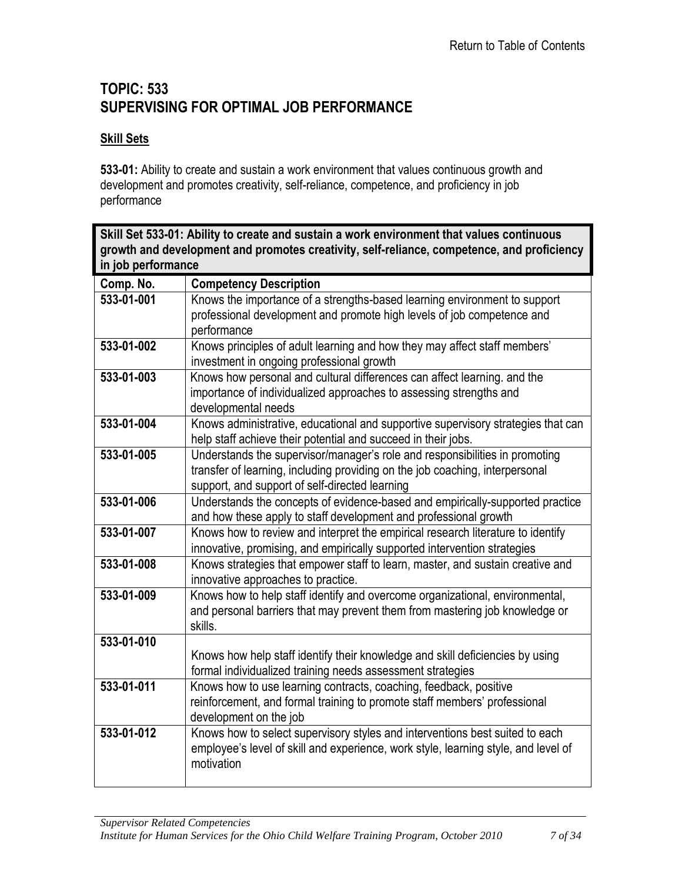### <span id="page-6-0"></span>**TOPIC: 533 SUPERVISING FOR OPTIMAL JOB PERFORMANCE**

#### **Skill Sets**

**533-01:** Ability to create and sustain a work environment that values continuous growth and development and promotes creativity, self-reliance, competence, and proficiency in job performance

<span id="page-6-1"></span>

| Skill Set 533-01: Ability to create and sustain a work environment that values continuous<br>growth and development and promotes creativity, self-reliance, competence, and proficiency<br>in job performance |                                                                                                                                                                                                               |
|---------------------------------------------------------------------------------------------------------------------------------------------------------------------------------------------------------------|---------------------------------------------------------------------------------------------------------------------------------------------------------------------------------------------------------------|
| Comp. No.                                                                                                                                                                                                     | <b>Competency Description</b>                                                                                                                                                                                 |
| 533-01-001                                                                                                                                                                                                    | Knows the importance of a strengths-based learning environment to support<br>professional development and promote high levels of job competence and<br>performance                                            |
| 533-01-002                                                                                                                                                                                                    | Knows principles of adult learning and how they may affect staff members'<br>investment in ongoing professional growth                                                                                        |
| 533-01-003                                                                                                                                                                                                    | Knows how personal and cultural differences can affect learning. and the<br>importance of individualized approaches to assessing strengths and<br>developmental needs                                         |
| 533-01-004                                                                                                                                                                                                    | Knows administrative, educational and supportive supervisory strategies that can<br>help staff achieve their potential and succeed in their jobs.                                                             |
| 533-01-005                                                                                                                                                                                                    | Understands the supervisor/manager's role and responsibilities in promoting<br>transfer of learning, including providing on the job coaching, interpersonal<br>support, and support of self-directed learning |
| 533-01-006                                                                                                                                                                                                    | Understands the concepts of evidence-based and empirically-supported practice<br>and how these apply to staff development and professional growth                                                             |
| 533-01-007                                                                                                                                                                                                    | Knows how to review and interpret the empirical research literature to identify<br>innovative, promising, and empirically supported intervention strategies                                                   |
| 533-01-008                                                                                                                                                                                                    | Knows strategies that empower staff to learn, master, and sustain creative and<br>innovative approaches to practice.                                                                                          |
| 533-01-009                                                                                                                                                                                                    | Knows how to help staff identify and overcome organizational, environmental,<br>and personal barriers that may prevent them from mastering job knowledge or<br>skills.                                        |
| 533-01-010                                                                                                                                                                                                    | Knows how help staff identify their knowledge and skill deficiencies by using<br>formal individualized training needs assessment strategies                                                                   |
| 533-01-011                                                                                                                                                                                                    | Knows how to use learning contracts, coaching, feedback, positive<br>reinforcement, and formal training to promote staff members' professional<br>development on the job                                      |
| 533-01-012                                                                                                                                                                                                    | Knows how to select supervisory styles and interventions best suited to each<br>employee's level of skill and experience, work style, learning style, and level of<br>motivation                              |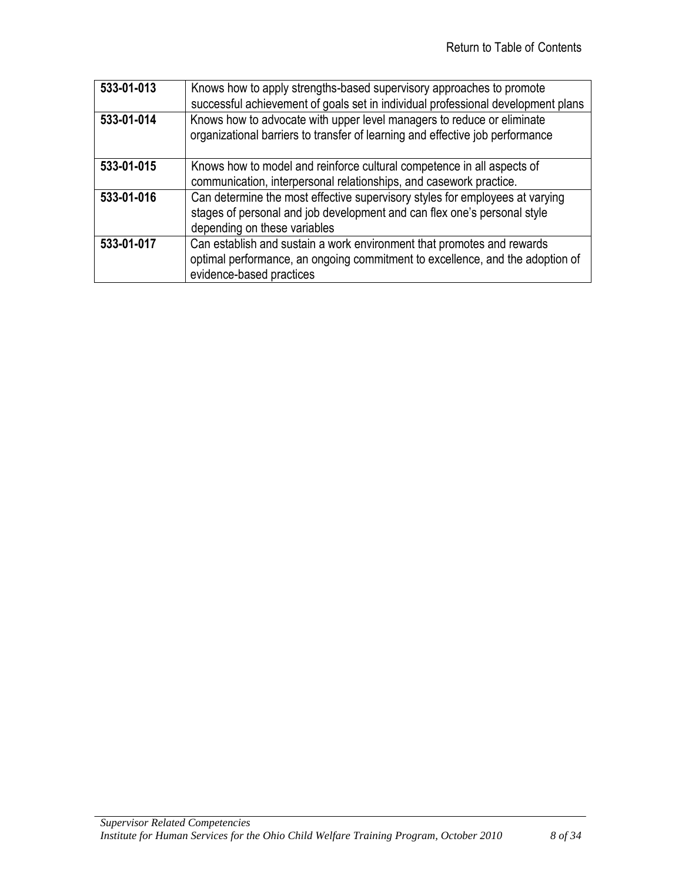| 533-01-013 | Knows how to apply strengths-based supervisory approaches to promote<br>successful achievement of goals set in individual professional development plans                                 |
|------------|------------------------------------------------------------------------------------------------------------------------------------------------------------------------------------------|
| 533-01-014 | Knows how to advocate with upper level managers to reduce or eliminate<br>organizational barriers to transfer of learning and effective job performance                                  |
| 533-01-015 | Knows how to model and reinforce cultural competence in all aspects of<br>communication, interpersonal relationships, and casework practice.                                             |
| 533-01-016 | Can determine the most effective supervisory styles for employees at varying<br>stages of personal and job development and can flex one's personal style<br>depending on these variables |
| 533-01-017 | Can establish and sustain a work environment that promotes and rewards<br>optimal performance, an ongoing commitment to excellence, and the adoption of<br>evidence-based practices      |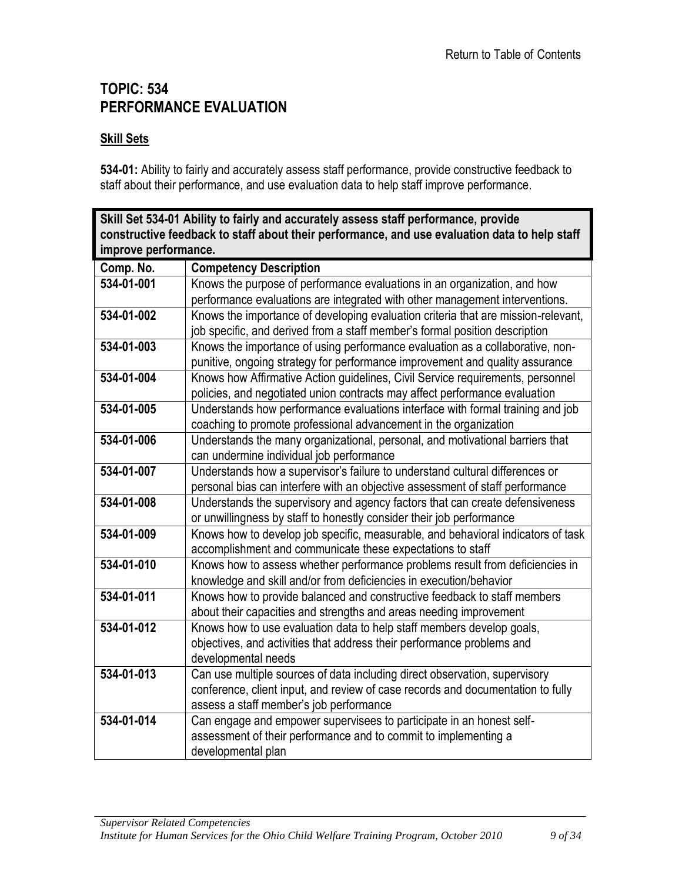### <span id="page-8-0"></span>**TOPIC: 534 PERFORMANCE EVALUATION**

#### **Skill Sets**

**534-01:** Ability to fairly and accurately assess staff performance, provide constructive feedback to staff about their performance, and use evaluation data to help staff improve performance.

<span id="page-8-1"></span>**Skill Set 534-01 Ability to fairly and accurately assess staff performance, provide constructive feedback to staff about their performance, and use evaluation data to help staff improve performance.**

| Comp. No.  | <b>Competency Description</b>                                                     |
|------------|-----------------------------------------------------------------------------------|
| 534-01-001 | Knows the purpose of performance evaluations in an organization, and how          |
|            | performance evaluations are integrated with other management interventions.       |
| 534-01-002 | Knows the importance of developing evaluation criteria that are mission-relevant, |
|            | job specific, and derived from a staff member's formal position description       |
| 534-01-003 | Knows the importance of using performance evaluation as a collaborative, non-     |
|            | punitive, ongoing strategy for performance improvement and quality assurance      |
| 534-01-004 | Knows how Affirmative Action guidelines, Civil Service requirements, personnel    |
|            | policies, and negotiated union contracts may affect performance evaluation        |
| 534-01-005 | Understands how performance evaluations interface with formal training and job    |
|            | coaching to promote professional advancement in the organization                  |
| 534-01-006 | Understands the many organizational, personal, and motivational barriers that     |
|            | can undermine individual job performance                                          |
| 534-01-007 | Understands how a supervisor's failure to understand cultural differences or      |
|            | personal bias can interfere with an objective assessment of staff performance     |
| 534-01-008 | Understands the supervisory and agency factors that can create defensiveness      |
|            | or unwillingness by staff to honestly consider their job performance              |
| 534-01-009 | Knows how to develop job specific, measurable, and behavioral indicators of task  |
|            | accomplishment and communicate these expectations to staff                        |
| 534-01-010 | Knows how to assess whether performance problems result from deficiencies in      |
|            | knowledge and skill and/or from deficiencies in execution/behavior                |
| 534-01-011 | Knows how to provide balanced and constructive feedback to staff members          |
|            | about their capacities and strengths and areas needing improvement                |
| 534-01-012 | Knows how to use evaluation data to help staff members develop goals,             |
|            | objectives, and activities that address their performance problems and            |
|            | developmental needs                                                               |
| 534-01-013 | Can use multiple sources of data including direct observation, supervisory        |
|            | conference, client input, and review of case records and documentation to fully   |
|            | assess a staff member's job performance                                           |
| 534-01-014 | Can engage and empower supervisees to participate in an honest self-              |
|            | assessment of their performance and to commit to implementing a                   |
|            | developmental plan                                                                |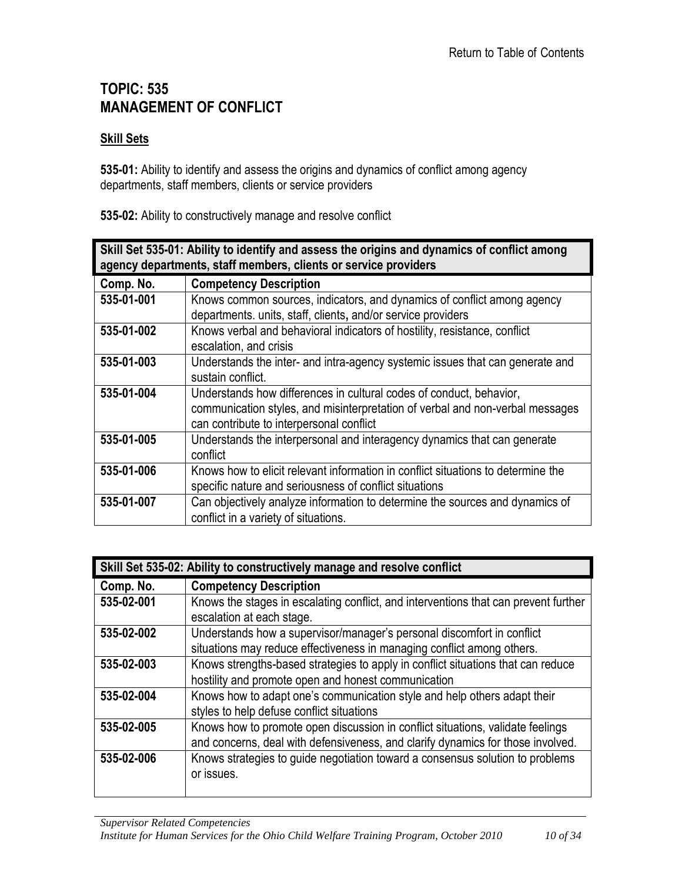### <span id="page-9-0"></span>**TOPIC: 535 MANAGEMENT OF CONFLICT**

#### **Skill Sets**

**535-01:** Ability to identify and assess the origins and dynamics of conflict among agency departments, staff members, clients or service providers

**535-02:** Ability to constructively manage and resolve conflict

<span id="page-9-1"></span>

| Skill Set 535-01: Ability to identify and assess the origins and dynamics of conflict among<br>agency departments, staff members, clients or service providers |                                                                                  |
|----------------------------------------------------------------------------------------------------------------------------------------------------------------|----------------------------------------------------------------------------------|
| Comp. No.                                                                                                                                                      | <b>Competency Description</b>                                                    |
| 535-01-001                                                                                                                                                     | Knows common sources, indicators, and dynamics of conflict among agency          |
|                                                                                                                                                                | departments. units, staff, clients, and/or service providers                     |
| 535-01-002                                                                                                                                                     | Knows verbal and behavioral indicators of hostility, resistance, conflict        |
|                                                                                                                                                                | escalation, and crisis                                                           |
| 535-01-003                                                                                                                                                     | Understands the inter- and intra-agency systemic issues that can generate and    |
|                                                                                                                                                                | sustain conflict.                                                                |
| 535-01-004                                                                                                                                                     | Understands how differences in cultural codes of conduct, behavior,              |
|                                                                                                                                                                | communication styles, and misinterpretation of verbal and non-verbal messages    |
|                                                                                                                                                                | can contribute to interpersonal conflict                                         |
| 535-01-005                                                                                                                                                     | Understands the interpersonal and interagency dynamics that can generate         |
|                                                                                                                                                                | conflict                                                                         |
| 535-01-006                                                                                                                                                     | Knows how to elicit relevant information in conflict situations to determine the |
|                                                                                                                                                                | specific nature and seriousness of conflict situations                           |
| 535-01-007                                                                                                                                                     | Can objectively analyze information to determine the sources and dynamics of     |
|                                                                                                                                                                | conflict in a variety of situations.                                             |

<span id="page-9-2"></span>

| Skill Set 535-02: Ability to constructively manage and resolve conflict |                                                                                                                                                                   |
|-------------------------------------------------------------------------|-------------------------------------------------------------------------------------------------------------------------------------------------------------------|
| Comp. No.                                                               | <b>Competency Description</b>                                                                                                                                     |
| 535-02-001                                                              | Knows the stages in escalating conflict, and interventions that can prevent further<br>escalation at each stage.                                                  |
| 535-02-002                                                              | Understands how a supervisor/manager's personal discomfort in conflict<br>situations may reduce effectiveness in managing conflict among others.                  |
| 535-02-003                                                              | Knows strengths-based strategies to apply in conflict situations that can reduce<br>hostility and promote open and honest communication                           |
| 535-02-004                                                              | Knows how to adapt one's communication style and help others adapt their<br>styles to help defuse conflict situations                                             |
| 535-02-005                                                              | Knows how to promote open discussion in conflict situations, validate feelings<br>and concerns, deal with defensiveness, and clarify dynamics for those involved. |
| 535-02-006                                                              | Knows strategies to guide negotiation toward a consensus solution to problems<br>or issues.                                                                       |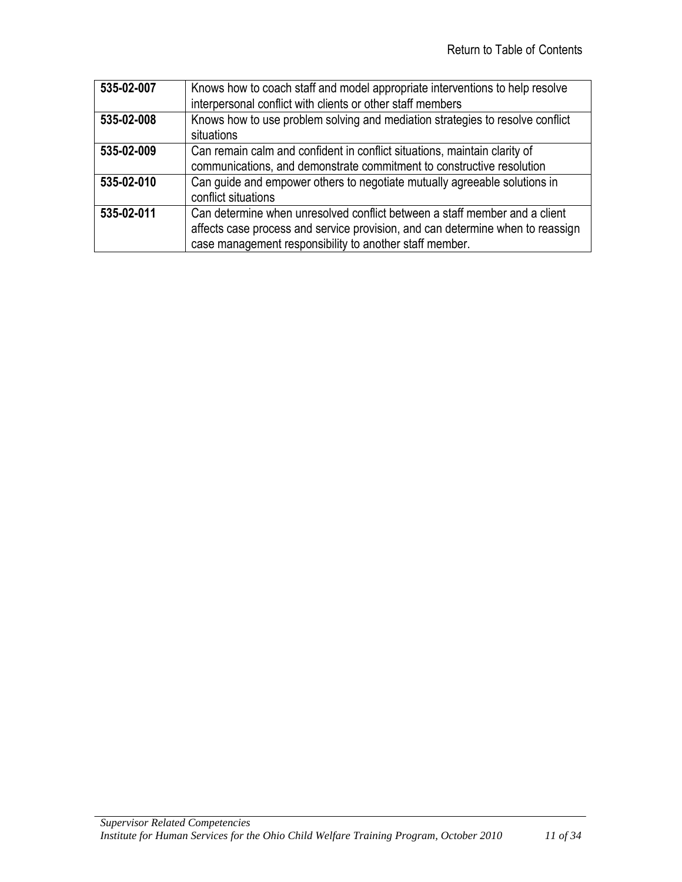| 535-02-007 | Knows how to coach staff and model appropriate interventions to help resolve<br>interpersonal conflict with clients or other staff members |
|------------|--------------------------------------------------------------------------------------------------------------------------------------------|
|            |                                                                                                                                            |
| 535-02-008 | Knows how to use problem solving and mediation strategies to resolve conflict                                                              |
|            | situations                                                                                                                                 |
| 535-02-009 | Can remain calm and confident in conflict situations, maintain clarity of                                                                  |
|            | communications, and demonstrate commitment to constructive resolution                                                                      |
| 535-02-010 | Can guide and empower others to negotiate mutually agreeable solutions in                                                                  |
|            | conflict situations                                                                                                                        |
| 535-02-011 | Can determine when unresolved conflict between a staff member and a client                                                                 |
|            | affects case process and service provision, and can determine when to reassign                                                             |
|            | case management responsibility to another staff member.                                                                                    |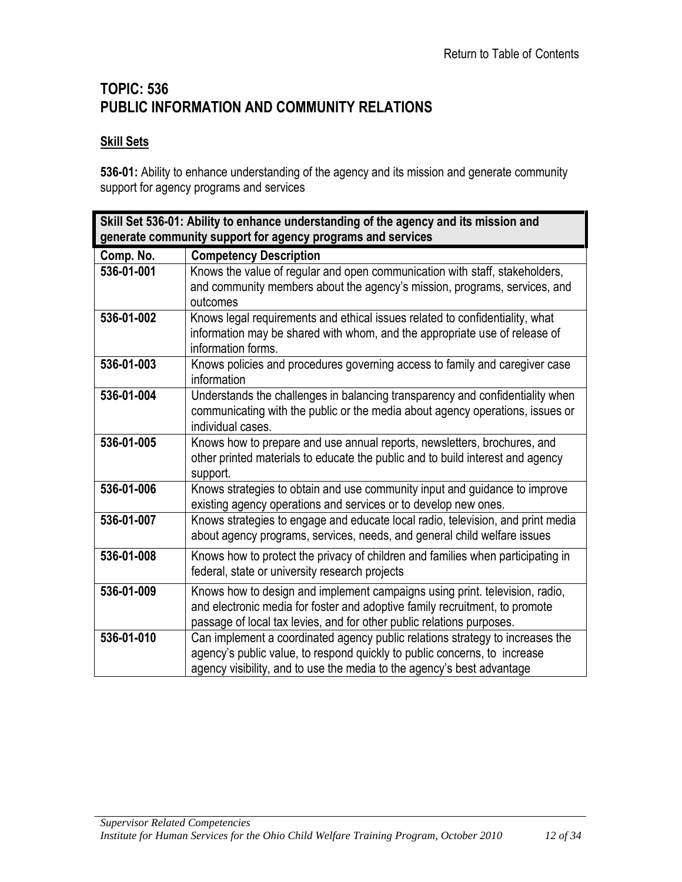# <span id="page-11-0"></span>**TOPIC: 536 PUBLIC INFORMATION AND COMMUNITY RELATIONS**

#### **Skill Sets**

**536-01:** Ability to enhance understanding of the agency and its mission and generate community support for agency programs and services

<span id="page-11-1"></span>

| Skill Set 536-01: Ability to enhance understanding of the agency and its mission and<br>generate community support for agency programs and services |                                                                                                                                                                                                                                      |
|-----------------------------------------------------------------------------------------------------------------------------------------------------|--------------------------------------------------------------------------------------------------------------------------------------------------------------------------------------------------------------------------------------|
| Comp. No.                                                                                                                                           | <b>Competency Description</b>                                                                                                                                                                                                        |
| 536-01-001                                                                                                                                          | Knows the value of regular and open communication with staff, stakeholders,<br>and community members about the agency's mission, programs, services, and<br>outcomes                                                                 |
| 536-01-002                                                                                                                                          | Knows legal requirements and ethical issues related to confidentiality, what<br>information may be shared with whom, and the appropriate use of release of<br>information forms.                                                     |
| 536-01-003                                                                                                                                          | Knows policies and procedures governing access to family and caregiver case<br>information                                                                                                                                           |
| 536-01-004                                                                                                                                          | Understands the challenges in balancing transparency and confidentiality when<br>communicating with the public or the media about agency operations, issues or<br>individual cases.                                                  |
| 536-01-005                                                                                                                                          | Knows how to prepare and use annual reports, newsletters, brochures, and<br>other printed materials to educate the public and to build interest and agency<br>support.                                                               |
| 536-01-006                                                                                                                                          | Knows strategies to obtain and use community input and guidance to improve<br>existing agency operations and services or to develop new ones.                                                                                        |
| 536-01-007                                                                                                                                          | Knows strategies to engage and educate local radio, television, and print media<br>about agency programs, services, needs, and general child welfare issues                                                                          |
| 536-01-008                                                                                                                                          | Knows how to protect the privacy of children and families when participating in<br>federal, state or university research projects                                                                                                    |
| 536-01-009                                                                                                                                          | Knows how to design and implement campaigns using print. television, radio,<br>and electronic media for foster and adoptive family recruitment, to promote<br>passage of local tax levies, and for other public relations purposes.  |
| 536-01-010                                                                                                                                          | Can implement a coordinated agency public relations strategy to increases the<br>agency's public value, to respond quickly to public concerns, to increase<br>agency visibility, and to use the media to the agency's best advantage |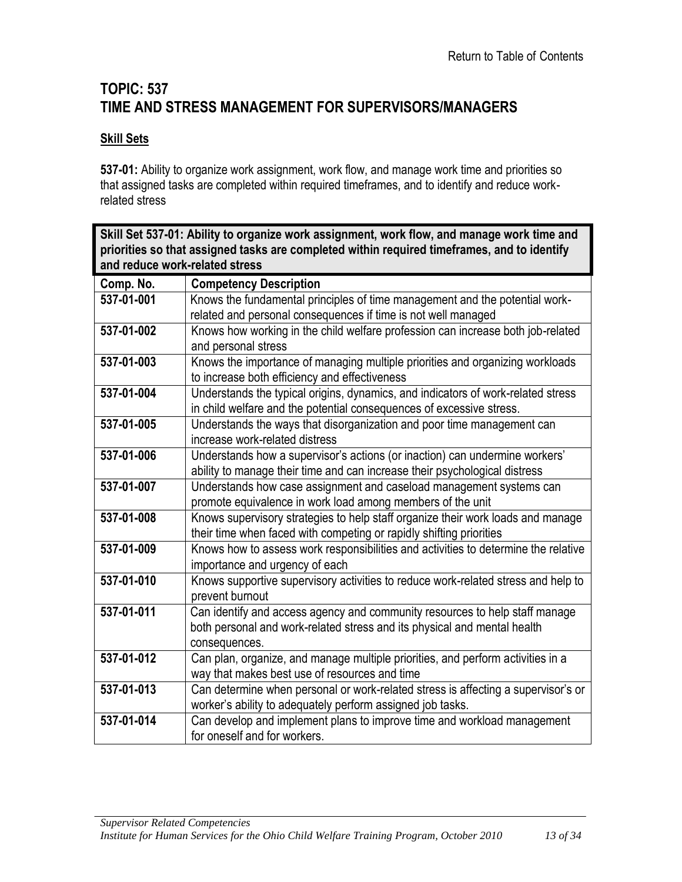# <span id="page-12-0"></span>**TOPIC: 537 TIME AND STRESS MANAGEMENT FOR SUPERVISORS/MANAGERS**

#### **Skill Sets**

**537-01:** Ability to organize work assignment, work flow, and manage work time and priorities so that assigned tasks are completed within required timeframes, and to identify and reduce workrelated stress

<span id="page-12-1"></span>

| Skill Set 537-01: Ability to organize work assignment, work flow, and manage work time and<br>priorities so that assigned tasks are completed within required timeframes, and to identify |                                                                                    |
|-------------------------------------------------------------------------------------------------------------------------------------------------------------------------------------------|------------------------------------------------------------------------------------|
| and reduce work-related stress                                                                                                                                                            |                                                                                    |
| Comp. No.                                                                                                                                                                                 | <b>Competency Description</b>                                                      |
| 537-01-001                                                                                                                                                                                | Knows the fundamental principles of time management and the potential work-        |
|                                                                                                                                                                                           | related and personal consequences if time is not well managed                      |
| 537-01-002                                                                                                                                                                                | Knows how working in the child welfare profession can increase both job-related    |
|                                                                                                                                                                                           | and personal stress                                                                |
| 537-01-003                                                                                                                                                                                | Knows the importance of managing multiple priorities and organizing workloads      |
|                                                                                                                                                                                           | to increase both efficiency and effectiveness                                      |
| 537-01-004                                                                                                                                                                                | Understands the typical origins, dynamics, and indicators of work-related stress   |
|                                                                                                                                                                                           | in child welfare and the potential consequences of excessive stress.               |
| 537-01-005                                                                                                                                                                                | Understands the ways that disorganization and poor time management can             |
|                                                                                                                                                                                           | increase work-related distress                                                     |
| 537-01-006                                                                                                                                                                                | Understands how a supervisor's actions (or inaction) can undermine workers'        |
|                                                                                                                                                                                           | ability to manage their time and can increase their psychological distress         |
| 537-01-007                                                                                                                                                                                | Understands how case assignment and caseload management systems can                |
|                                                                                                                                                                                           | promote equivalence in work load among members of the unit                         |
| 537-01-008                                                                                                                                                                                | Knows supervisory strategies to help staff organize their work loads and manage    |
|                                                                                                                                                                                           | their time when faced with competing or rapidly shifting priorities                |
| 537-01-009                                                                                                                                                                                | Knows how to assess work responsibilities and activities to determine the relative |
|                                                                                                                                                                                           | importance and urgency of each                                                     |
| 537-01-010                                                                                                                                                                                | Knows supportive supervisory activities to reduce work-related stress and help to  |
|                                                                                                                                                                                           | prevent burnout                                                                    |
| 537-01-011                                                                                                                                                                                | Can identify and access agency and community resources to help staff manage        |
|                                                                                                                                                                                           | both personal and work-related stress and its physical and mental health           |
|                                                                                                                                                                                           | consequences.                                                                      |
| 537-01-012                                                                                                                                                                                | Can plan, organize, and manage multiple priorities, and perform activities in a    |
|                                                                                                                                                                                           | way that makes best use of resources and time                                      |
| 537-01-013                                                                                                                                                                                | Can determine when personal or work-related stress is affecting a supervisor's or  |
|                                                                                                                                                                                           | worker's ability to adequately perform assigned job tasks.                         |
| 537-01-014                                                                                                                                                                                | Can develop and implement plans to improve time and workload management            |
|                                                                                                                                                                                           | for oneself and for workers.                                                       |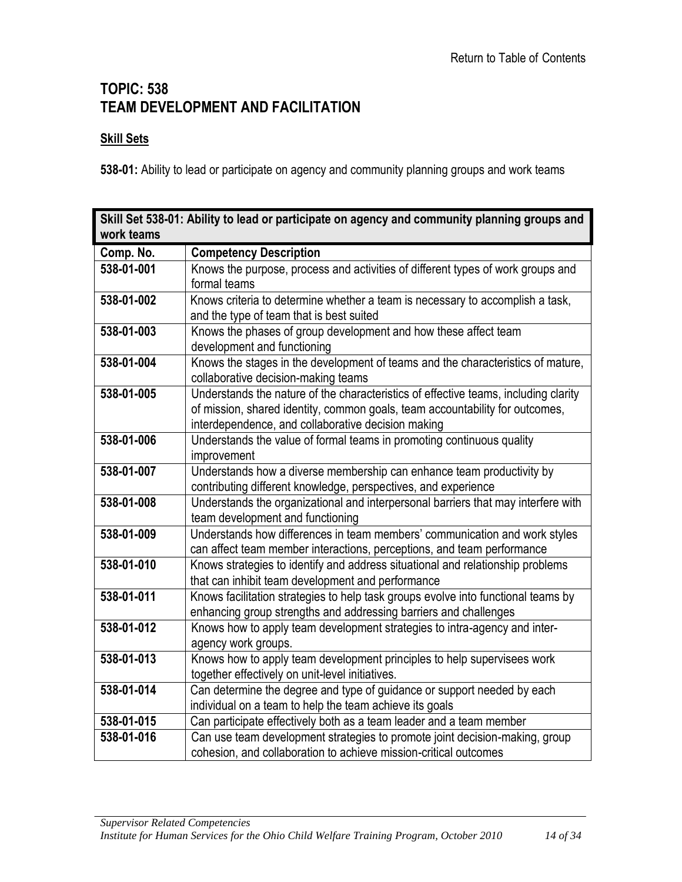### <span id="page-13-0"></span>**TOPIC: 538 TEAM DEVELOPMENT AND FACILITATION**

#### **Skill Sets**

**538-01:** Ability to lead or participate on agency and community planning groups and work teams

<span id="page-13-1"></span>

| Skill Set 538-01: Ability to lead or participate on agency and community planning groups and |                                                                                                                                    |
|----------------------------------------------------------------------------------------------|------------------------------------------------------------------------------------------------------------------------------------|
| work teams                                                                                   |                                                                                                                                    |
| Comp. No.                                                                                    | <b>Competency Description</b>                                                                                                      |
| 538-01-001                                                                                   | Knows the purpose, process and activities of different types of work groups and                                                    |
|                                                                                              | formal teams                                                                                                                       |
| 538-01-002                                                                                   | Knows criteria to determine whether a team is necessary to accomplish a task,                                                      |
|                                                                                              | and the type of team that is best suited                                                                                           |
| 538-01-003                                                                                   | Knows the phases of group development and how these affect team                                                                    |
|                                                                                              | development and functioning                                                                                                        |
| 538-01-004                                                                                   | Knows the stages in the development of teams and the characteristics of mature,                                                    |
|                                                                                              | collaborative decision-making teams                                                                                                |
| 538-01-005                                                                                   | Understands the nature of the characteristics of effective teams, including clarity                                                |
|                                                                                              | of mission, shared identity, common goals, team accountability for outcomes,                                                       |
|                                                                                              | interdependence, and collaborative decision making                                                                                 |
| 538-01-006                                                                                   | Understands the value of formal teams in promoting continuous quality                                                              |
|                                                                                              | improvement                                                                                                                        |
| 538-01-007                                                                                   | Understands how a diverse membership can enhance team productivity by                                                              |
|                                                                                              | contributing different knowledge, perspectives, and experience                                                                     |
| 538-01-008                                                                                   | Understands the organizational and interpersonal barriers that may interfere with                                                  |
|                                                                                              | team development and functioning                                                                                                   |
| 538-01-009                                                                                   | Understands how differences in team members' communication and work styles                                                         |
|                                                                                              | can affect team member interactions, perceptions, and team performance                                                             |
| 538-01-010                                                                                   | Knows strategies to identify and address situational and relationship problems                                                     |
|                                                                                              | that can inhibit team development and performance                                                                                  |
| 538-01-011                                                                                   | Knows facilitation strategies to help task groups evolve into functional teams by                                                  |
|                                                                                              | enhancing group strengths and addressing barriers and challenges                                                                   |
| 538-01-012                                                                                   | Knows how to apply team development strategies to intra-agency and inter-                                                          |
| 538-01-013                                                                                   | agency work groups.                                                                                                                |
|                                                                                              | Knows how to apply team development principles to help supervisees work                                                            |
| 538-01-014                                                                                   | together effectively on unit-level initiatives.                                                                                    |
|                                                                                              | Can determine the degree and type of guidance or support needed by each<br>individual on a team to help the team achieve its goals |
| 538-01-015                                                                                   | Can participate effectively both as a team leader and a team member                                                                |
| 538-01-016                                                                                   |                                                                                                                                    |
|                                                                                              | Can use team development strategies to promote joint decision-making, group                                                        |
|                                                                                              | cohesion, and collaboration to achieve mission-critical outcomes                                                                   |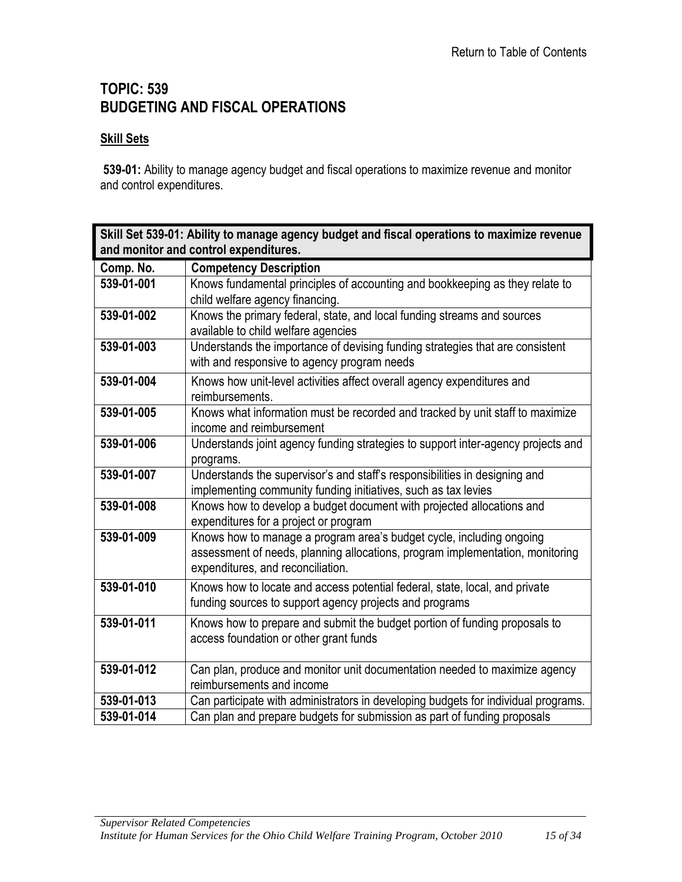# <span id="page-14-0"></span>**TOPIC: 539 BUDGETING AND FISCAL OPERATIONS**

#### **Skill Sets**

**539-01:** Ability to manage agency budget and fiscal operations to maximize revenue and monitor and control expenditures.

<span id="page-14-1"></span>

| Skill Set 539-01: Ability to manage agency budget and fiscal operations to maximize revenue |                                                                                                                    |
|---------------------------------------------------------------------------------------------|--------------------------------------------------------------------------------------------------------------------|
| and monitor and control expenditures.                                                       |                                                                                                                    |
| Comp. No.                                                                                   | <b>Competency Description</b>                                                                                      |
| 539-01-001                                                                                  | Knows fundamental principles of accounting and bookkeeping as they relate to                                       |
|                                                                                             | child welfare agency financing.                                                                                    |
| 539-01-002                                                                                  | Knows the primary federal, state, and local funding streams and sources                                            |
|                                                                                             | available to child welfare agencies                                                                                |
| 539-01-003                                                                                  | Understands the importance of devising funding strategies that are consistent                                      |
|                                                                                             | with and responsive to agency program needs                                                                        |
| 539-01-004                                                                                  | Knows how unit-level activities affect overall agency expenditures and                                             |
|                                                                                             | reimbursements.                                                                                                    |
| 539-01-005                                                                                  | Knows what information must be recorded and tracked by unit staff to maximize                                      |
|                                                                                             | income and reimbursement                                                                                           |
| 539-01-006                                                                                  | Understands joint agency funding strategies to support inter-agency projects and                                   |
|                                                                                             | programs.                                                                                                          |
| 539-01-007                                                                                  | Understands the supervisor's and staff's responsibilities in designing and                                         |
|                                                                                             | implementing community funding initiatives, such as tax levies                                                     |
| 539-01-008                                                                                  | Knows how to develop a budget document with projected allocations and                                              |
|                                                                                             | expenditures for a project or program                                                                              |
| 539-01-009                                                                                  | Knows how to manage a program area's budget cycle, including ongoing                                               |
|                                                                                             | assessment of needs, planning allocations, program implementation, monitoring<br>expenditures, and reconciliation. |
|                                                                                             |                                                                                                                    |
| 539-01-010                                                                                  | Knows how to locate and access potential federal, state, local, and private                                        |
|                                                                                             | funding sources to support agency projects and programs                                                            |
| 539-01-011                                                                                  | Knows how to prepare and submit the budget portion of funding proposals to                                         |
|                                                                                             | access foundation or other grant funds                                                                             |
|                                                                                             |                                                                                                                    |
| 539-01-012                                                                                  | Can plan, produce and monitor unit documentation needed to maximize agency                                         |
|                                                                                             | reimbursements and income                                                                                          |
| 539-01-013                                                                                  | Can participate with administrators in developing budgets for individual programs.                                 |
| 539-01-014                                                                                  | Can plan and prepare budgets for submission as part of funding proposals                                           |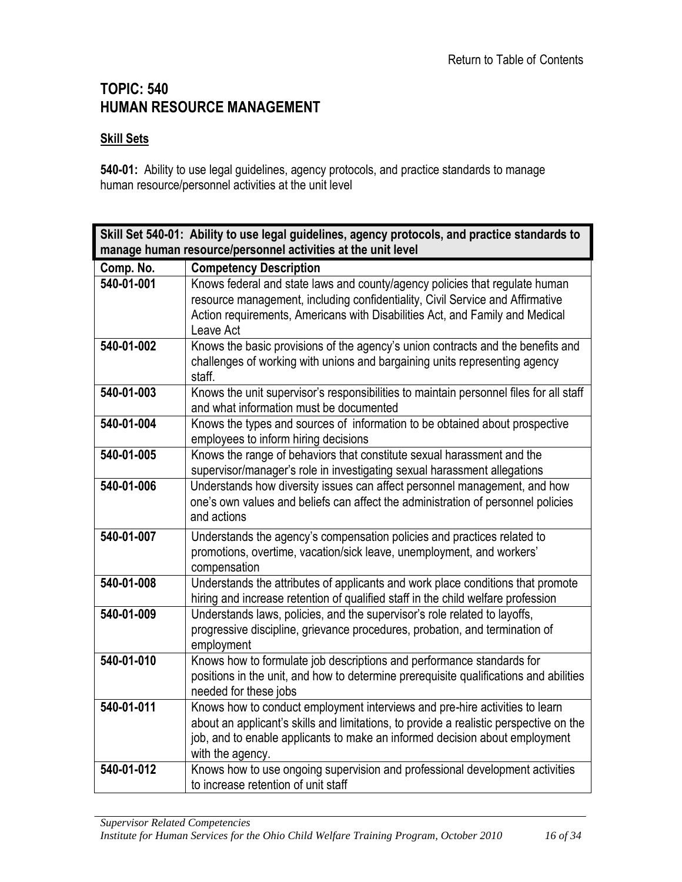### <span id="page-15-0"></span>**TOPIC: 540 HUMAN RESOURCE MANAGEMENT**

#### **Skill Sets**

**540-01:** Ability to use legal guidelines, agency protocols, and practice standards to manage human resource/personnel activities at the unit level

<span id="page-15-1"></span>

| Skill Set 540-01: Ability to use legal guidelines, agency protocols, and practice standards to |                                                                                                                                                                                                                                                                          |
|------------------------------------------------------------------------------------------------|--------------------------------------------------------------------------------------------------------------------------------------------------------------------------------------------------------------------------------------------------------------------------|
| manage human resource/personnel activities at the unit level                                   |                                                                                                                                                                                                                                                                          |
| Comp. No.                                                                                      | <b>Competency Description</b>                                                                                                                                                                                                                                            |
| 540-01-001                                                                                     | Knows federal and state laws and county/agency policies that regulate human<br>resource management, including confidentiality, Civil Service and Affirmative<br>Action requirements, Americans with Disabilities Act, and Family and Medical<br>Leave Act                |
| 540-01-002                                                                                     | Knows the basic provisions of the agency's union contracts and the benefits and<br>challenges of working with unions and bargaining units representing agency<br>staff.                                                                                                  |
| 540-01-003                                                                                     | Knows the unit supervisor's responsibilities to maintain personnel files for all staff<br>and what information must be documented                                                                                                                                        |
| 540-01-004                                                                                     | Knows the types and sources of information to be obtained about prospective<br>employees to inform hiring decisions                                                                                                                                                      |
| 540-01-005                                                                                     | Knows the range of behaviors that constitute sexual harassment and the<br>supervisor/manager's role in investigating sexual harassment allegations                                                                                                                       |
| 540-01-006                                                                                     | Understands how diversity issues can affect personnel management, and how<br>one's own values and beliefs can affect the administration of personnel policies<br>and actions                                                                                             |
| 540-01-007                                                                                     | Understands the agency's compensation policies and practices related to<br>promotions, overtime, vacation/sick leave, unemployment, and workers'<br>compensation                                                                                                         |
| 540-01-008                                                                                     | Understands the attributes of applicants and work place conditions that promote<br>hiring and increase retention of qualified staff in the child welfare profession                                                                                                      |
| 540-01-009                                                                                     | Understands laws, policies, and the supervisor's role related to layoffs,<br>progressive discipline, grievance procedures, probation, and termination of<br>employment                                                                                                   |
| 540-01-010                                                                                     | Knows how to formulate job descriptions and performance standards for<br>positions in the unit, and how to determine prerequisite qualifications and abilities<br>needed for these jobs                                                                                  |
| $540 - 01 - 011$                                                                               | Knows how to conduct employment interviews and pre-hire activities to learn<br>about an applicant's skills and limitations, to provide a realistic perspective on the<br>job, and to enable applicants to make an informed decision about employment<br>with the agency. |
| 540-01-012                                                                                     | Knows how to use ongoing supervision and professional development activities<br>to increase retention of unit staff                                                                                                                                                      |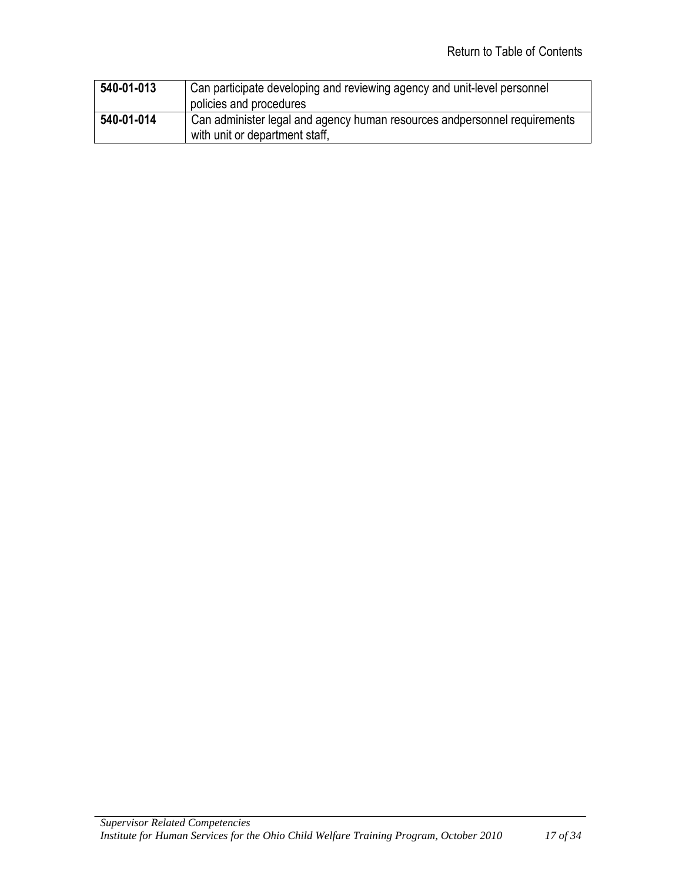| 540-01-013 | Can participate developing and reviewing agency and unit-level personnel   |
|------------|----------------------------------------------------------------------------|
|            | policies and procedures                                                    |
| 540-01-014 | Can administer legal and agency human resources and personnel requirements |
|            | with unit or department staff,                                             |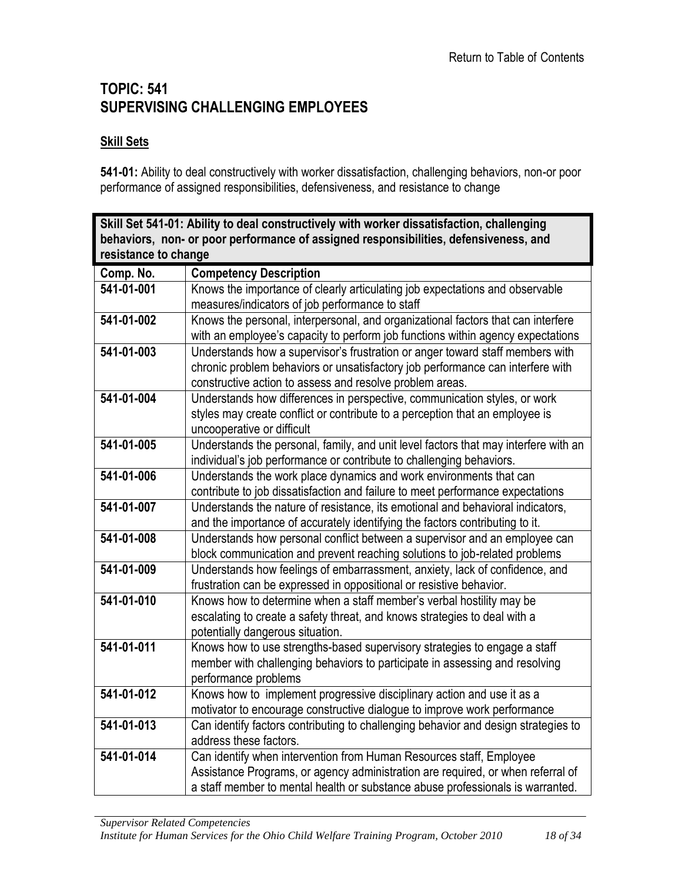### <span id="page-17-0"></span>**TOPIC: 541 SUPERVISING CHALLENGING EMPLOYEES**

#### **Skill Sets**

**541-01:** Ability to deal constructively with worker dissatisfaction, challenging behaviors, non-or poor performance of assigned responsibilities, defensiveness, and resistance to change

<span id="page-17-1"></span>

| Skill Set 541-01: Ability to deal constructively with worker dissatisfaction, challenging<br>behaviors, non- or poor performance of assigned responsibilities, defensiveness, and |                                                                                                                                                                                                                                          |
|-----------------------------------------------------------------------------------------------------------------------------------------------------------------------------------|------------------------------------------------------------------------------------------------------------------------------------------------------------------------------------------------------------------------------------------|
| resistance to change                                                                                                                                                              |                                                                                                                                                                                                                                          |
| Comp. No.                                                                                                                                                                         | <b>Competency Description</b>                                                                                                                                                                                                            |
| 541-01-001                                                                                                                                                                        | Knows the importance of clearly articulating job expectations and observable<br>measures/indicators of job performance to staff                                                                                                          |
| 541-01-002                                                                                                                                                                        | Knows the personal, interpersonal, and organizational factors that can interfere<br>with an employee's capacity to perform job functions within agency expectations                                                                      |
| 541-01-003                                                                                                                                                                        | Understands how a supervisor's frustration or anger toward staff members with<br>chronic problem behaviors or unsatisfactory job performance can interfere with<br>constructive action to assess and resolve problem areas.              |
| 541-01-004                                                                                                                                                                        | Understands how differences in perspective, communication styles, or work<br>styles may create conflict or contribute to a perception that an employee is<br>uncooperative or difficult                                                  |
| 541-01-005                                                                                                                                                                        | Understands the personal, family, and unit level factors that may interfere with an<br>individual's job performance or contribute to challenging behaviors.                                                                              |
| 541-01-006                                                                                                                                                                        | Understands the work place dynamics and work environments that can<br>contribute to job dissatisfaction and failure to meet performance expectations                                                                                     |
| 541-01-007                                                                                                                                                                        | Understands the nature of resistance, its emotional and behavioral indicators,<br>and the importance of accurately identifying the factors contributing to it.                                                                           |
| 541-01-008                                                                                                                                                                        | Understands how personal conflict between a supervisor and an employee can<br>block communication and prevent reaching solutions to job-related problems                                                                                 |
| 541-01-009                                                                                                                                                                        | Understands how feelings of embarrassment, anxiety, lack of confidence, and<br>frustration can be expressed in oppositional or resistive behavior.                                                                                       |
| 541-01-010                                                                                                                                                                        | Knows how to determine when a staff member's verbal hostility may be<br>escalating to create a safety threat, and knows strategies to deal with a<br>potentially dangerous situation.                                                    |
| 541-01-011                                                                                                                                                                        | Knows how to use strengths-based supervisory strategies to engage a staff<br>member with challenging behaviors to participate in assessing and resolving<br>performance problems                                                         |
| 541-01-012                                                                                                                                                                        | Knows how to implement progressive disciplinary action and use it as a<br>motivator to encourage constructive dialogue to improve work performance                                                                                       |
| 541-01-013                                                                                                                                                                        | Can identify factors contributing to challenging behavior and design strategies to<br>address these factors.                                                                                                                             |
| 541-01-014                                                                                                                                                                        | Can identify when intervention from Human Resources staff, Employee<br>Assistance Programs, or agency administration are required, or when referral of<br>a staff member to mental health or substance abuse professionals is warranted. |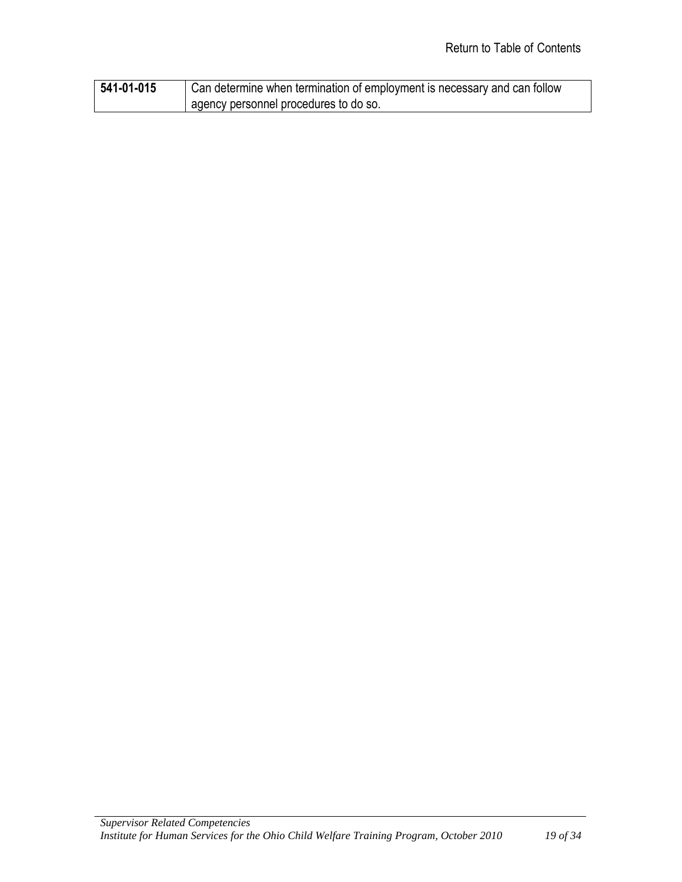| 541-01-015 | Can determine when termination of employment is necessary and can follow |
|------------|--------------------------------------------------------------------------|
|            | agency personnel procedures to do so.                                    |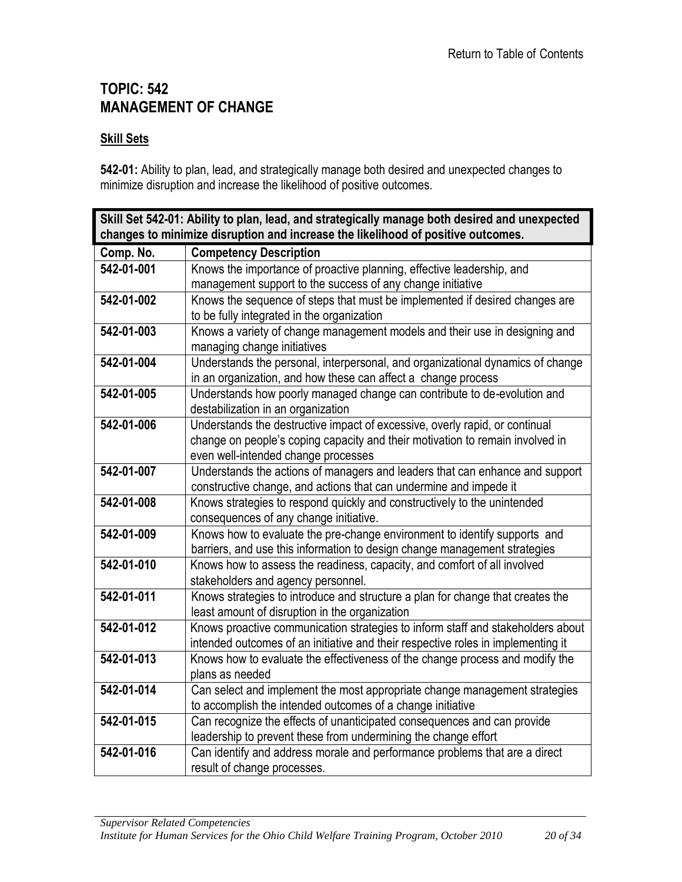## <span id="page-19-0"></span>**TOPIC: 542 MANAGEMENT OF CHANGE**

#### **Skill Sets**

**542-01:** Ability to plan, lead, and strategically manage both desired and unexpected changes to minimize disruption and increase the likelihood of positive outcomes.

<span id="page-19-1"></span>

| Skill Set 542-01: Ability to plan, lead, and strategically manage both desired and unexpected                                                                    |  |
|------------------------------------------------------------------------------------------------------------------------------------------------------------------|--|
| changes to minimize disruption and increase the likelihood of positive outcomes.                                                                                 |  |
| <b>Competency Description</b>                                                                                                                                    |  |
| Knows the importance of proactive planning, effective leadership, and                                                                                            |  |
| management support to the success of any change initiative                                                                                                       |  |
| Knows the sequence of steps that must be implemented if desired changes are                                                                                      |  |
| to be fully integrated in the organization                                                                                                                       |  |
| Knows a variety of change management models and their use in designing and                                                                                       |  |
| managing change initiatives                                                                                                                                      |  |
| Understands the personal, interpersonal, and organizational dynamics of change                                                                                   |  |
| in an organization, and how these can affect a change process                                                                                                    |  |
| Understands how poorly managed change can contribute to de-evolution and                                                                                         |  |
| destabilization in an organization                                                                                                                               |  |
| Understands the destructive impact of excessive, overly rapid, or continual                                                                                      |  |
| change on people's coping capacity and their motivation to remain involved in                                                                                    |  |
| even well-intended change processes                                                                                                                              |  |
| Understands the actions of managers and leaders that can enhance and support                                                                                     |  |
| constructive change, and actions that can undermine and impede it                                                                                                |  |
| Knows strategies to respond quickly and constructively to the unintended                                                                                         |  |
| consequences of any change initiative.                                                                                                                           |  |
| Knows how to evaluate the pre-change environment to identify supports and                                                                                        |  |
| barriers, and use this information to design change management strategies                                                                                        |  |
| Knows how to assess the readiness, capacity, and comfort of all involved                                                                                         |  |
| stakeholders and agency personnel.                                                                                                                               |  |
| Knows strategies to introduce and structure a plan for change that creates the                                                                                   |  |
| least amount of disruption in the organization                                                                                                                   |  |
| Knows proactive communication strategies to inform staff and stakeholders about                                                                                  |  |
| intended outcomes of an initiative and their respective roles in implementing it<br>Knows how to evaluate the effectiveness of the change process and modify the |  |
| plans as needed                                                                                                                                                  |  |
| Can select and implement the most appropriate change management strategies                                                                                       |  |
| to accomplish the intended outcomes of a change initiative                                                                                                       |  |
| Can recognize the effects of unanticipated consequences and can provide                                                                                          |  |
| leadership to prevent these from undermining the change effort                                                                                                   |  |
| Can identify and address morale and performance problems that are a direct                                                                                       |  |
| result of change processes.                                                                                                                                      |  |
|                                                                                                                                                                  |  |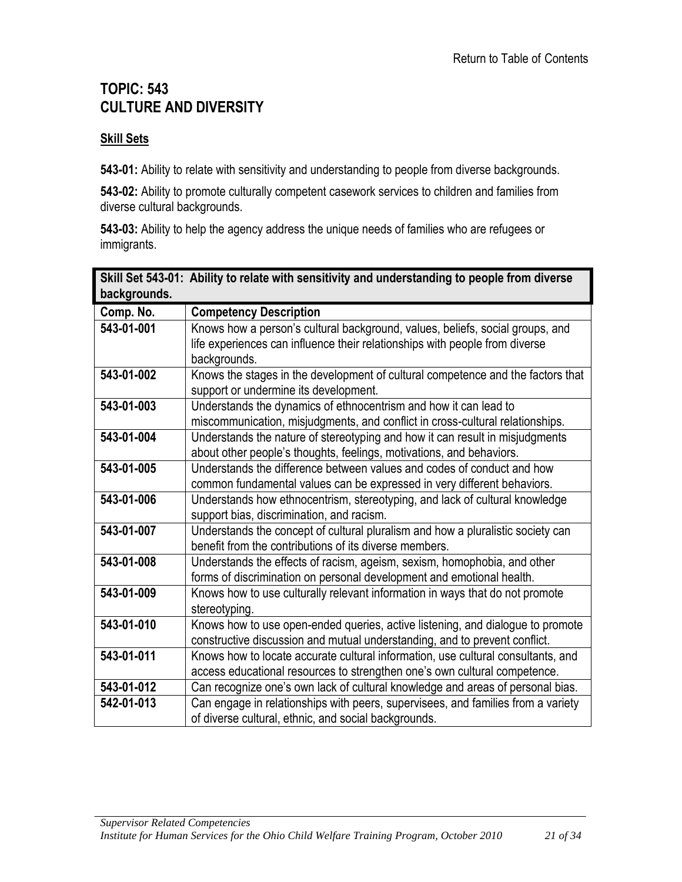# <span id="page-20-0"></span>**TOPIC: 543 CULTURE AND DIVERSITY**

#### **Skill Sets**

**543-01:** Ability to relate with sensitivity and understanding to people from diverse backgrounds.

**543-02:** Ability to promote culturally competent casework services to children and families from diverse cultural backgrounds.

**543-03:** Ability to help the agency address the unique needs of families who are refugees or immigrants.

<span id="page-20-1"></span>

| backgrounds. | Skill Set 543-01: Ability to relate with sensitivity and understanding to people from diverse                                                                                |
|--------------|------------------------------------------------------------------------------------------------------------------------------------------------------------------------------|
| Comp. No.    | <b>Competency Description</b>                                                                                                                                                |
| 543-01-001   | Knows how a person's cultural background, values, beliefs, social groups, and<br>life experiences can influence their relationships with people from diverse<br>backgrounds. |
| 543-01-002   | Knows the stages in the development of cultural competence and the factors that<br>support or undermine its development.                                                     |
| 543-01-003   | Understands the dynamics of ethnocentrism and how it can lead to<br>miscommunication, misjudgments, and conflict in cross-cultural relationships.                            |
| 543-01-004   | Understands the nature of stereotyping and how it can result in misjudgments<br>about other people's thoughts, feelings, motivations, and behaviors.                         |
| 543-01-005   | Understands the difference between values and codes of conduct and how<br>common fundamental values can be expressed in very different behaviors.                            |
| 543-01-006   | Understands how ethnocentrism, stereotyping, and lack of cultural knowledge<br>support bias, discrimination, and racism.                                                     |
| 543-01-007   | Understands the concept of cultural pluralism and how a pluralistic society can<br>benefit from the contributions of its diverse members.                                    |
| 543-01-008   | Understands the effects of racism, ageism, sexism, homophobia, and other<br>forms of discrimination on personal development and emotional health.                            |
| 543-01-009   | Knows how to use culturally relevant information in ways that do not promote<br>stereotyping.                                                                                |
| 543-01-010   | Knows how to use open-ended queries, active listening, and dialogue to promote<br>constructive discussion and mutual understanding, and to prevent conflict.                 |
| 543-01-011   | Knows how to locate accurate cultural information, use cultural consultants, and<br>access educational resources to strengthen one's own cultural competence.                |
| 543-01-012   | Can recognize one's own lack of cultural knowledge and areas of personal bias.                                                                                               |
| 542-01-013   | Can engage in relationships with peers, supervisees, and families from a variety<br>of diverse cultural, ethnic, and social backgrounds.                                     |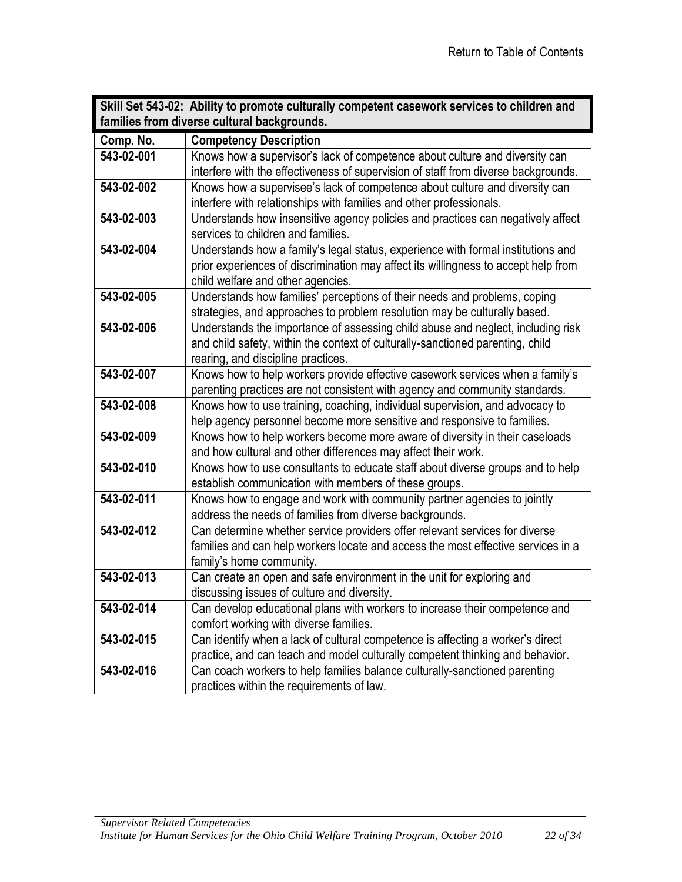<span id="page-21-0"></span>

| Skill Set 543-02: Ability to promote culturally competent casework services to children and |                                                                                    |
|---------------------------------------------------------------------------------------------|------------------------------------------------------------------------------------|
| families from diverse cultural backgrounds.                                                 |                                                                                    |
| Comp. No.                                                                                   | <b>Competency Description</b>                                                      |
| 543-02-001                                                                                  | Knows how a supervisor's lack of competence about culture and diversity can        |
|                                                                                             | interfere with the effectiveness of supervision of staff from diverse backgrounds. |
| 543-02-002                                                                                  | Knows how a supervisee's lack of competence about culture and diversity can        |
|                                                                                             | interfere with relationships with families and other professionals.                |
| 543-02-003                                                                                  | Understands how insensitive agency policies and practices can negatively affect    |
|                                                                                             | services to children and families.                                                 |
| 543-02-004                                                                                  | Understands how a family's legal status, experience with formal institutions and   |
|                                                                                             | prior experiences of discrimination may affect its willingness to accept help from |
|                                                                                             | child welfare and other agencies.                                                  |
| 543-02-005                                                                                  | Understands how families' perceptions of their needs and problems, coping          |
|                                                                                             | strategies, and approaches to problem resolution may be culturally based.          |
| 543-02-006                                                                                  | Understands the importance of assessing child abuse and neglect, including risk    |
|                                                                                             | and child safety, within the context of culturally-sanctioned parenting, child     |
|                                                                                             | rearing, and discipline practices.                                                 |
| 543-02-007                                                                                  | Knows how to help workers provide effective casework services when a family's      |
|                                                                                             | parenting practices are not consistent with agency and community standards.        |
| 543-02-008                                                                                  | Knows how to use training, coaching, individual supervision, and advocacy to       |
|                                                                                             | help agency personnel become more sensitive and responsive to families.            |
| 543-02-009                                                                                  | Knows how to help workers become more aware of diversity in their caseloads        |
|                                                                                             | and how cultural and other differences may affect their work.                      |
| 543-02-010                                                                                  | Knows how to use consultants to educate staff about diverse groups and to help     |
|                                                                                             | establish communication with members of these groups.                              |
| 543-02-011                                                                                  | Knows how to engage and work with community partner agencies to jointly            |
|                                                                                             | address the needs of families from diverse backgrounds.                            |
| 543-02-012                                                                                  | Can determine whether service providers offer relevant services for diverse        |
|                                                                                             | families and can help workers locate and access the most effective services in a   |
|                                                                                             | family's home community.                                                           |
| 543-02-013                                                                                  | Can create an open and safe environment in the unit for exploring and              |
|                                                                                             | discussing issues of culture and diversity.                                        |
| 543-02-014                                                                                  | Can develop educational plans with workers to increase their competence and        |
|                                                                                             | comfort working with diverse families.                                             |
| 543-02-015                                                                                  | Can identify when a lack of cultural competence is affecting a worker's direct     |
|                                                                                             | practice, and can teach and model culturally competent thinking and behavior.      |
| 543-02-016                                                                                  | Can coach workers to help families balance culturally-sanctioned parenting         |
|                                                                                             | practices within the requirements of law.                                          |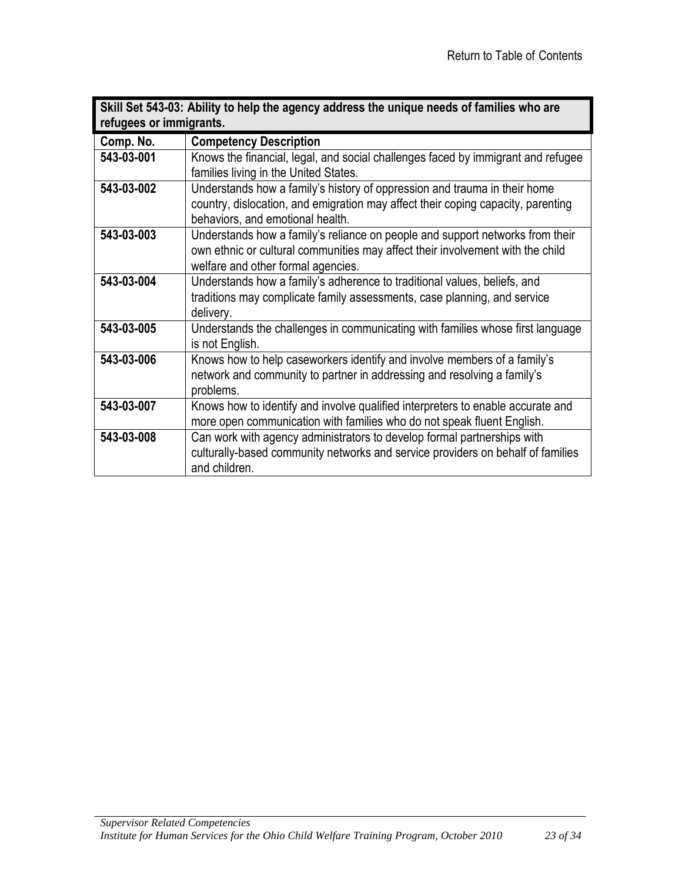<span id="page-22-0"></span>

| Skill Set 543-03: Ability to help the agency address the unique needs of families who are |                                                                                                                                                                                                       |
|-------------------------------------------------------------------------------------------|-------------------------------------------------------------------------------------------------------------------------------------------------------------------------------------------------------|
| refugees or immigrants.                                                                   |                                                                                                                                                                                                       |
| Comp. No.                                                                                 | <b>Competency Description</b>                                                                                                                                                                         |
| 543-03-001                                                                                | Knows the financial, legal, and social challenges faced by immigrant and refugee<br>families living in the United States.                                                                             |
| 543-03-002                                                                                | Understands how a family's history of oppression and trauma in their home<br>country, dislocation, and emigration may affect their coping capacity, parenting<br>behaviors, and emotional health.     |
| 543-03-003                                                                                | Understands how a family's reliance on people and support networks from their<br>own ethnic or cultural communities may affect their involvement with the child<br>welfare and other formal agencies. |
| 543-03-004                                                                                | Understands how a family's adherence to traditional values, beliefs, and<br>traditions may complicate family assessments, case planning, and service<br>delivery.                                     |
| 543-03-005                                                                                | Understands the challenges in communicating with families whose first language<br>is not English.                                                                                                     |
| 543-03-006                                                                                | Knows how to help caseworkers identify and involve members of a family's<br>network and community to partner in addressing and resolving a family's<br>problems.                                      |
| 543-03-007                                                                                | Knows how to identify and involve qualified interpreters to enable accurate and<br>more open communication with families who do not speak fluent English.                                             |
| 543-03-008                                                                                | Can work with agency administrators to develop formal partnerships with<br>culturally-based community networks and service providers on behalf of families<br>and children.                           |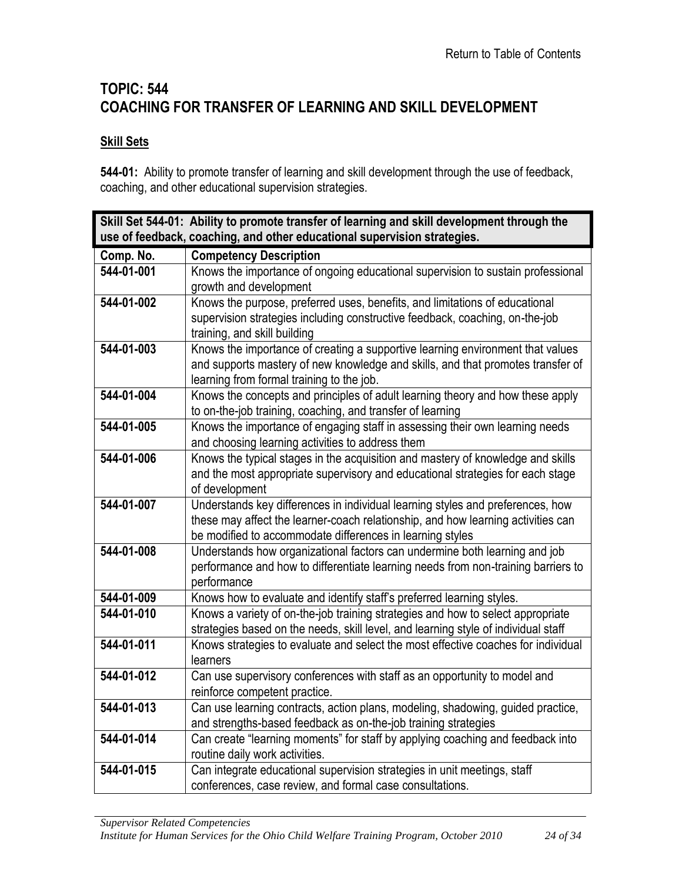# <span id="page-23-0"></span>**TOPIC: 544 COACHING FOR TRANSFER OF LEARNING AND SKILL DEVELOPMENT**

#### **Skill Sets**

**544-01:** Ability to promote transfer of learning and skill development through the use of feedback, coaching, and other educational supervision strategies.

<span id="page-23-1"></span>

|            | Skill Set 544-01: Ability to promote transfer of learning and skill development through the                                      |
|------------|----------------------------------------------------------------------------------------------------------------------------------|
|            | use of feedback, coaching, and other educational supervision strategies.                                                         |
| Comp. No.  | <b>Competency Description</b>                                                                                                    |
| 544-01-001 | Knows the importance of ongoing educational supervision to sustain professional                                                  |
|            | growth and development                                                                                                           |
| 544-01-002 | Knows the purpose, preferred uses, benefits, and limitations of educational                                                      |
|            | supervision strategies including constructive feedback, coaching, on-the-job                                                     |
|            | training, and skill building                                                                                                     |
| 544-01-003 | Knows the importance of creating a supportive learning environment that values                                                   |
|            | and supports mastery of new knowledge and skills, and that promotes transfer of                                                  |
|            | learning from formal training to the job.                                                                                        |
| 544-01-004 | Knows the concepts and principles of adult learning theory and how these apply                                                   |
| 544-01-005 | to on-the-job training, coaching, and transfer of learning                                                                       |
|            | Knows the importance of engaging staff in assessing their own learning needs<br>and choosing learning activities to address them |
| 544-01-006 | Knows the typical stages in the acquisition and mastery of knowledge and skills                                                  |
|            | and the most appropriate supervisory and educational strategies for each stage                                                   |
|            | of development                                                                                                                   |
| 544-01-007 | Understands key differences in individual learning styles and preferences, how                                                   |
|            | these may affect the learner-coach relationship, and how learning activities can                                                 |
|            | be modified to accommodate differences in learning styles                                                                        |
| 544-01-008 | Understands how organizational factors can undermine both learning and job                                                       |
|            | performance and how to differentiate learning needs from non-training barriers to                                                |
|            | performance                                                                                                                      |
| 544-01-009 | Knows how to evaluate and identify staff's preferred learning styles.                                                            |
| 544-01-010 | Knows a variety of on-the-job training strategies and how to select appropriate                                                  |
|            | strategies based on the needs, skill level, and learning style of individual staff                                               |
| 544-01-011 | Knows strategies to evaluate and select the most effective coaches for individual                                                |
|            | learners                                                                                                                         |
| 544-01-012 | Can use supervisory conferences with staff as an opportunity to model and                                                        |
|            | reinforce competent practice.                                                                                                    |
| 544-01-013 | Can use learning contracts, action plans, modeling, shadowing, guided practice,                                                  |
|            | and strengths-based feedback as on-the-job training strategies                                                                   |
| 544-01-014 | Can create "learning moments" for staff by applying coaching and feedback into                                                   |
|            | routine daily work activities.                                                                                                   |
| 544-01-015 | Can integrate educational supervision strategies in unit meetings, staff                                                         |
|            | conferences, case review, and formal case consultations.                                                                         |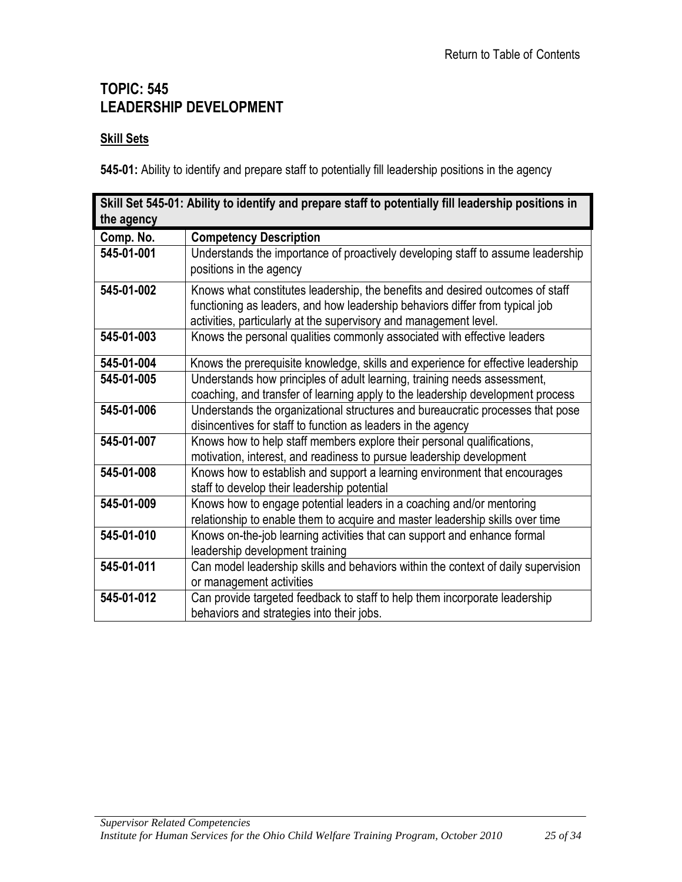### <span id="page-24-0"></span>**TOPIC: 545 LEADERSHIP DEVELOPMENT**

#### **Skill Sets**

**545-01:** Ability to identify and prepare staff to potentially fill leadership positions in the agency

<span id="page-24-1"></span>

| the agency | Skill Set 545-01: Ability to identify and prepare staff to potentially fill leadership positions in                                                                                                                                |
|------------|------------------------------------------------------------------------------------------------------------------------------------------------------------------------------------------------------------------------------------|
| Comp. No.  | <b>Competency Description</b>                                                                                                                                                                                                      |
| 545-01-001 | Understands the importance of proactively developing staff to assume leadership<br>positions in the agency                                                                                                                         |
| 545-01-002 | Knows what constitutes leadership, the benefits and desired outcomes of staff<br>functioning as leaders, and how leadership behaviors differ from typical job<br>activities, particularly at the supervisory and management level. |
| 545-01-003 | Knows the personal qualities commonly associated with effective leaders                                                                                                                                                            |
| 545-01-004 | Knows the prerequisite knowledge, skills and experience for effective leadership                                                                                                                                                   |
| 545-01-005 | Understands how principles of adult learning, training needs assessment,<br>coaching, and transfer of learning apply to the leadership development process                                                                         |
| 545-01-006 | Understands the organizational structures and bureaucratic processes that pose<br>disincentives for staff to function as leaders in the agency                                                                                     |
| 545-01-007 | Knows how to help staff members explore their personal qualifications,<br>motivation, interest, and readiness to pursue leadership development                                                                                     |
| 545-01-008 | Knows how to establish and support a learning environment that encourages<br>staff to develop their leadership potential                                                                                                           |
| 545-01-009 | Knows how to engage potential leaders in a coaching and/or mentoring<br>relationship to enable them to acquire and master leadership skills over time                                                                              |
| 545-01-010 | Knows on-the-job learning activities that can support and enhance formal<br>leadership development training                                                                                                                        |
| 545-01-011 | Can model leadership skills and behaviors within the context of daily supervision<br>or management activities                                                                                                                      |
| 545-01-012 | Can provide targeted feedback to staff to help them incorporate leadership<br>behaviors and strategies into their jobs.                                                                                                            |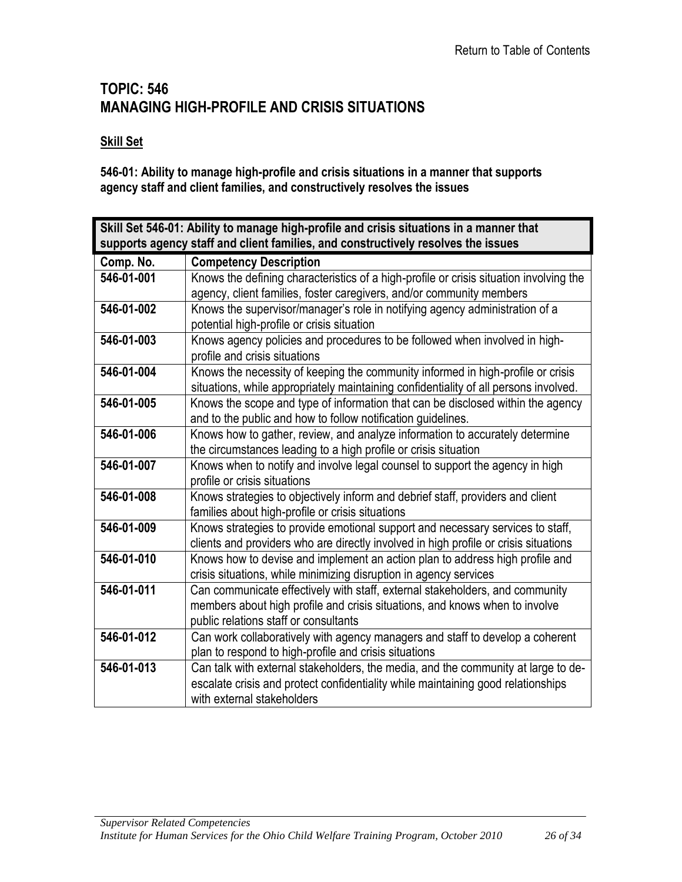### <span id="page-25-0"></span>**TOPIC: 546 MANAGING HIGH-PROFILE AND CRISIS SITUATIONS**

#### **Skill Set**

**546-01: Ability to manage high-profile and crisis situations in a manner that supports agency staff and client families, and constructively resolves the issues**

<span id="page-25-1"></span>

| Skill Set 546-01: Ability to manage high-profile and crisis situations in a manner that |                                                                                        |  |
|-----------------------------------------------------------------------------------------|----------------------------------------------------------------------------------------|--|
| supports agency staff and client families, and constructively resolves the issues       |                                                                                        |  |
| Comp. No.                                                                               | <b>Competency Description</b>                                                          |  |
| 546-01-001                                                                              | Knows the defining characteristics of a high-profile or crisis situation involving the |  |
|                                                                                         | agency, client families, foster caregivers, and/or community members                   |  |
| 546-01-002                                                                              | Knows the supervisor/manager's role in notifying agency administration of a            |  |
|                                                                                         | potential high-profile or crisis situation                                             |  |
| 546-01-003                                                                              | Knows agency policies and procedures to be followed when involved in high-             |  |
|                                                                                         | profile and crisis situations                                                          |  |
| 546-01-004                                                                              | Knows the necessity of keeping the community informed in high-profile or crisis        |  |
|                                                                                         | situations, while appropriately maintaining confidentiality of all persons involved.   |  |
| 546-01-005                                                                              | Knows the scope and type of information that can be disclosed within the agency        |  |
|                                                                                         | and to the public and how to follow notification guidelines.                           |  |
| 546-01-006                                                                              | Knows how to gather, review, and analyze information to accurately determine           |  |
|                                                                                         | the circumstances leading to a high profile or crisis situation                        |  |
| 546-01-007                                                                              | Knows when to notify and involve legal counsel to support the agency in high           |  |
|                                                                                         | profile or crisis situations                                                           |  |
| 546-01-008                                                                              | Knows strategies to objectively inform and debrief staff, providers and client         |  |
|                                                                                         | families about high-profile or crisis situations                                       |  |
| 546-01-009                                                                              | Knows strategies to provide emotional support and necessary services to staff,         |  |
|                                                                                         | clients and providers who are directly involved in high profile or crisis situations   |  |
| 546-01-010                                                                              | Knows how to devise and implement an action plan to address high profile and           |  |
|                                                                                         | crisis situations, while minimizing disruption in agency services                      |  |
| 546-01-011                                                                              | Can communicate effectively with staff, external stakeholders, and community           |  |
|                                                                                         | members about high profile and crisis situations, and knows when to involve            |  |
|                                                                                         | public relations staff or consultants                                                  |  |
| 546-01-012                                                                              | Can work collaboratively with agency managers and staff to develop a coherent          |  |
|                                                                                         | plan to respond to high-profile and crisis situations                                  |  |
| 546-01-013                                                                              | Can talk with external stakeholders, the media, and the community at large to de-      |  |
|                                                                                         | escalate crisis and protect confidentiality while maintaining good relationships       |  |
|                                                                                         | with external stakeholders                                                             |  |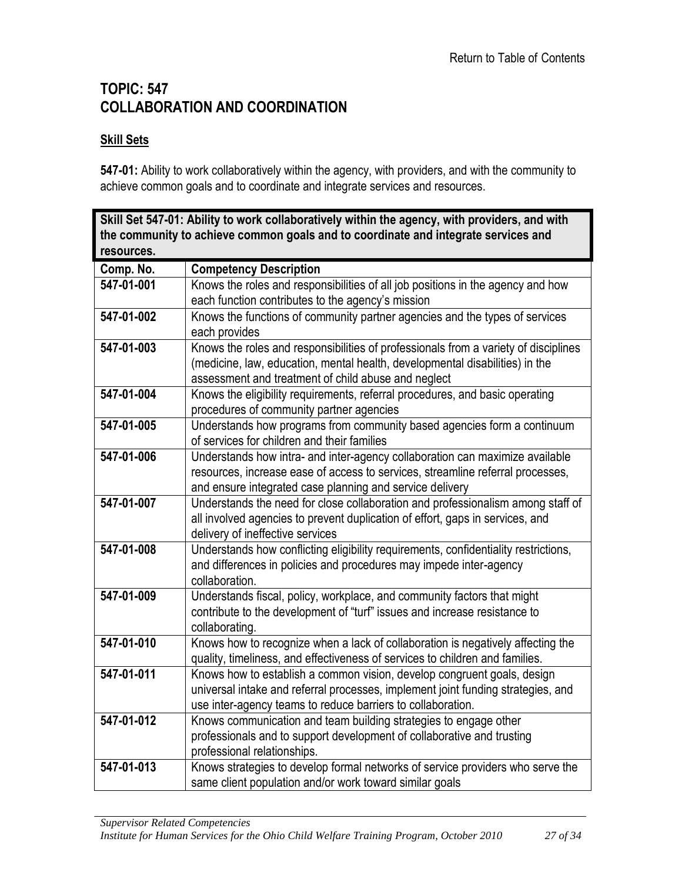# <span id="page-26-0"></span>**TOPIC: 547 COLLABORATION AND COORDINATION**

#### **Skill Sets**

**547-01:** Ability to work collaboratively within the agency, with providers, and with the community to achieve common goals and to coordinate and integrate services and resources.

<span id="page-26-1"></span>

| Skill Set 547-01: Ability to work collaboratively within the agency, with providers, and with |                                                                                                                   |  |
|-----------------------------------------------------------------------------------------------|-------------------------------------------------------------------------------------------------------------------|--|
|                                                                                               | the community to achieve common goals and to coordinate and integrate services and                                |  |
| resources.                                                                                    |                                                                                                                   |  |
| Comp. No.                                                                                     | <b>Competency Description</b>                                                                                     |  |
| 547-01-001                                                                                    | Knows the roles and responsibilities of all job positions in the agency and how                                   |  |
|                                                                                               | each function contributes to the agency's mission                                                                 |  |
| 547-01-002                                                                                    | Knows the functions of community partner agencies and the types of services                                       |  |
|                                                                                               | each provides                                                                                                     |  |
| 547-01-003                                                                                    | Knows the roles and responsibilities of professionals from a variety of disciplines                               |  |
|                                                                                               | (medicine, law, education, mental health, developmental disabilities) in the                                      |  |
|                                                                                               | assessment and treatment of child abuse and neglect                                                               |  |
| 547-01-004                                                                                    | Knows the eligibility requirements, referral procedures, and basic operating                                      |  |
|                                                                                               | procedures of community partner agencies                                                                          |  |
| 547-01-005                                                                                    | Understands how programs from community based agencies form a continuum                                           |  |
|                                                                                               | of services for children and their families                                                                       |  |
| 547-01-006                                                                                    | Understands how intra- and inter-agency collaboration can maximize available                                      |  |
|                                                                                               | resources, increase ease of access to services, streamline referral processes,                                    |  |
| 547-01-007                                                                                    | and ensure integrated case planning and service delivery                                                          |  |
|                                                                                               | Understands the need for close collaboration and professionalism among staff of                                   |  |
|                                                                                               | all involved agencies to prevent duplication of effort, gaps in services, and<br>delivery of ineffective services |  |
| 547-01-008                                                                                    | Understands how conflicting eligibility requirements, confidentiality restrictions,                               |  |
|                                                                                               | and differences in policies and procedures may impede inter-agency                                                |  |
|                                                                                               | collaboration.                                                                                                    |  |
| 547-01-009                                                                                    | Understands fiscal, policy, workplace, and community factors that might                                           |  |
|                                                                                               | contribute to the development of "turf" issues and increase resistance to                                         |  |
|                                                                                               | collaborating.                                                                                                    |  |
| 547-01-010                                                                                    | Knows how to recognize when a lack of collaboration is negatively affecting the                                   |  |
|                                                                                               | quality, timeliness, and effectiveness of services to children and families.                                      |  |
| 547-01-011                                                                                    | Knows how to establish a common vision, develop congruent goals, design                                           |  |
|                                                                                               | universal intake and referral processes, implement joint funding strategies, and                                  |  |
|                                                                                               | use inter-agency teams to reduce barriers to collaboration.                                                       |  |
| 547-01-012                                                                                    | Knows communication and team building strategies to engage other                                                  |  |
|                                                                                               | professionals and to support development of collaborative and trusting                                            |  |
|                                                                                               | professional relationships.                                                                                       |  |
| 547-01-013                                                                                    | Knows strategies to develop formal networks of service providers who serve the                                    |  |
|                                                                                               | same client population and/or work toward similar goals                                                           |  |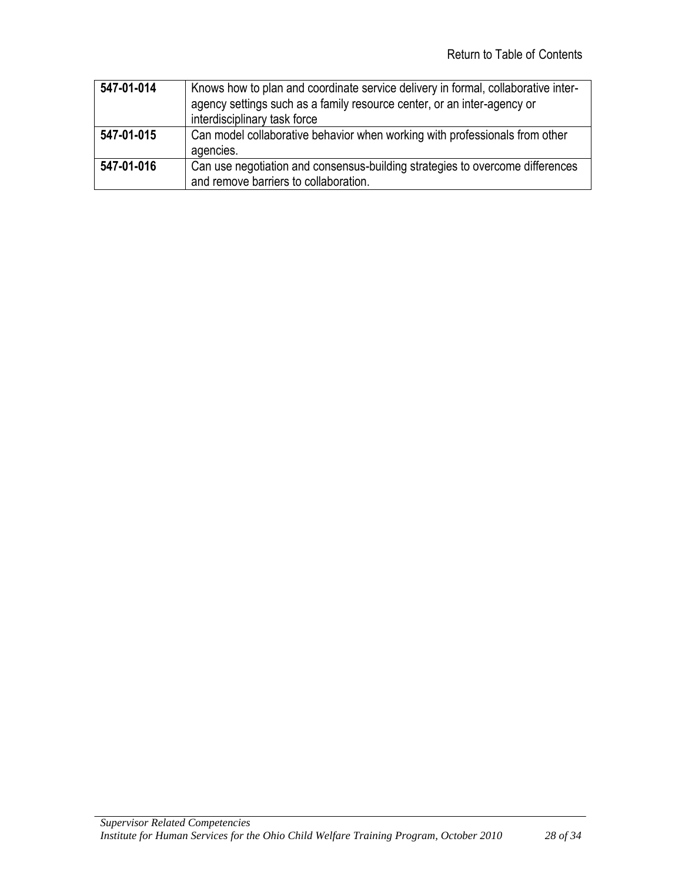| 547-01-014 | Knows how to plan and coordinate service delivery in formal, collaborative inter- |
|------------|-----------------------------------------------------------------------------------|
|            | agency settings such as a family resource center, or an inter-agency or           |
|            | interdisciplinary task force                                                      |
| 547-01-015 | Can model collaborative behavior when working with professionals from other       |
|            | agencies.                                                                         |
| 547-01-016 | Can use negotiation and consensus-building strategies to overcome differences     |
|            | and remove barriers to collaboration.                                             |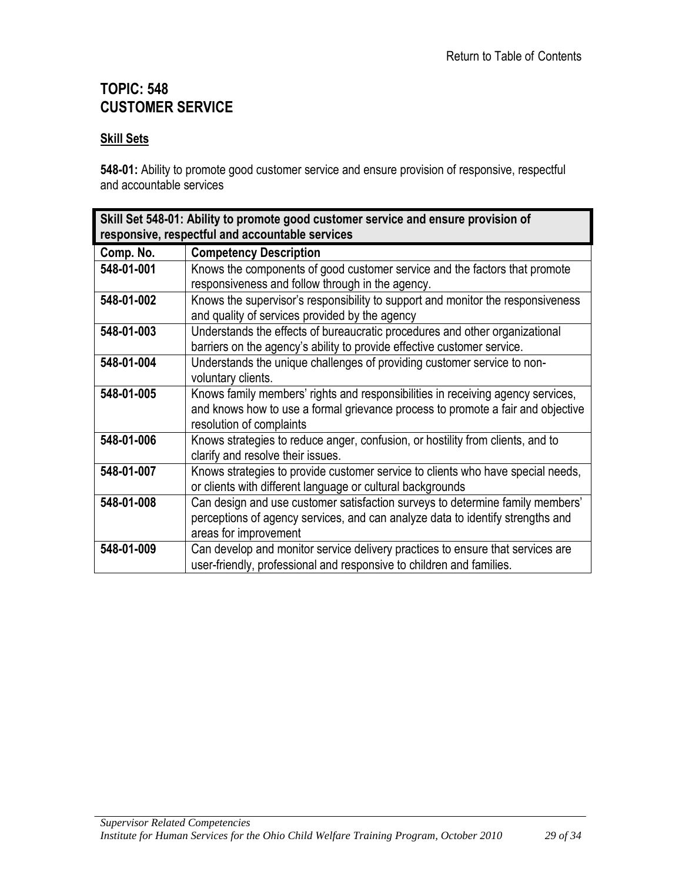# <span id="page-28-0"></span>**TOPIC: 548 CUSTOMER SERVICE**

#### **Skill Sets**

**548-01:** Ability to promote good customer service and ensure provision of responsive, respectful and accountable services

<span id="page-28-1"></span>

| Skill Set 548-01: Ability to promote good customer service and ensure provision of<br>responsive, respectful and accountable services |                                                                                                                                                                                                |
|---------------------------------------------------------------------------------------------------------------------------------------|------------------------------------------------------------------------------------------------------------------------------------------------------------------------------------------------|
| Comp. No.                                                                                                                             | <b>Competency Description</b>                                                                                                                                                                  |
| 548-01-001                                                                                                                            | Knows the components of good customer service and the factors that promote<br>responsiveness and follow through in the agency.                                                                 |
| 548-01-002                                                                                                                            | Knows the supervisor's responsibility to support and monitor the responsiveness<br>and quality of services provided by the agency                                                              |
| 548-01-003                                                                                                                            | Understands the effects of bureaucratic procedures and other organizational<br>barriers on the agency's ability to provide effective customer service.                                         |
| 548-01-004                                                                                                                            | Understands the unique challenges of providing customer service to non-<br>voluntary clients.                                                                                                  |
| 548-01-005                                                                                                                            | Knows family members' rights and responsibilities in receiving agency services,<br>and knows how to use a formal grievance process to promote a fair and objective<br>resolution of complaints |
| 548-01-006                                                                                                                            | Knows strategies to reduce anger, confusion, or hostility from clients, and to<br>clarify and resolve their issues.                                                                            |
| 548-01-007                                                                                                                            | Knows strategies to provide customer service to clients who have special needs,<br>or clients with different language or cultural backgrounds                                                  |
| 548-01-008                                                                                                                            | Can design and use customer satisfaction surveys to determine family members'<br>perceptions of agency services, and can analyze data to identify strengths and<br>areas for improvement       |
| 548-01-009                                                                                                                            | Can develop and monitor service delivery practices to ensure that services are<br>user-friendly, professional and responsive to children and families.                                         |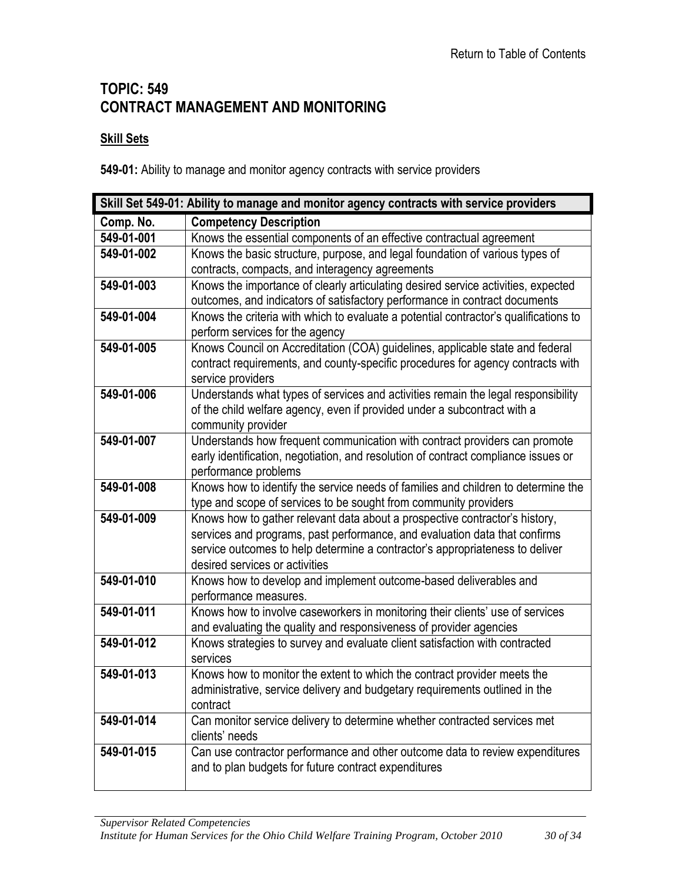# <span id="page-29-0"></span>**TOPIC: 549 CONTRACT MANAGEMENT AND MONITORING**

#### **Skill Sets**

**549-01:** Ability to manage and monitor agency contracts with service providers

<span id="page-29-1"></span>

| Skill Set 549-01: Ability to manage and monitor agency contracts with service providers |                                                                                                                                                            |
|-----------------------------------------------------------------------------------------|------------------------------------------------------------------------------------------------------------------------------------------------------------|
| Comp. No.                                                                               | <b>Competency Description</b>                                                                                                                              |
| 549-01-001                                                                              | Knows the essential components of an effective contractual agreement                                                                                       |
| 549-01-002                                                                              | Knows the basic structure, purpose, and legal foundation of various types of                                                                               |
|                                                                                         | contracts, compacts, and interagency agreements                                                                                                            |
| 549-01-003                                                                              | Knows the importance of clearly articulating desired service activities, expected                                                                          |
|                                                                                         | outcomes, and indicators of satisfactory performance in contract documents                                                                                 |
| 549-01-004                                                                              | Knows the criteria with which to evaluate a potential contractor's qualifications to                                                                       |
|                                                                                         | perform services for the agency                                                                                                                            |
| 549-01-005                                                                              | Knows Council on Accreditation (COA) guidelines, applicable state and federal                                                                              |
|                                                                                         | contract requirements, and county-specific procedures for agency contracts with                                                                            |
|                                                                                         | service providers                                                                                                                                          |
| 549-01-006                                                                              | Understands what types of services and activities remain the legal responsibility                                                                          |
|                                                                                         | of the child welfare agency, even if provided under a subcontract with a                                                                                   |
|                                                                                         | community provider                                                                                                                                         |
| 549-01-007                                                                              | Understands how frequent communication with contract providers can promote                                                                                 |
|                                                                                         | early identification, negotiation, and resolution of contract compliance issues or                                                                         |
|                                                                                         | performance problems                                                                                                                                       |
| 549-01-008                                                                              | Knows how to identify the service needs of families and children to determine the                                                                          |
| 549-01-009                                                                              | type and scope of services to be sought from community providers                                                                                           |
|                                                                                         | Knows how to gather relevant data about a prospective contractor's history,                                                                                |
|                                                                                         | services and programs, past performance, and evaluation data that confirms<br>service outcomes to help determine a contractor's appropriateness to deliver |
|                                                                                         | desired services or activities                                                                                                                             |
| 549-01-010                                                                              | Knows how to develop and implement outcome-based deliverables and                                                                                          |
|                                                                                         | performance measures.                                                                                                                                      |
| 549-01-011                                                                              | Knows how to involve caseworkers in monitoring their clients' use of services                                                                              |
|                                                                                         | and evaluating the quality and responsiveness of provider agencies                                                                                         |
| 549-01-012                                                                              | Knows strategies to survey and evaluate client satisfaction with contracted                                                                                |
|                                                                                         | services                                                                                                                                                   |
| 549-01-013                                                                              | Knows how to monitor the extent to which the contract provider meets the                                                                                   |
|                                                                                         | administrative, service delivery and budgetary requirements outlined in the                                                                                |
|                                                                                         | contract                                                                                                                                                   |
| 549-01-014                                                                              | Can monitor service delivery to determine whether contracted services met                                                                                  |
|                                                                                         | clients' needs                                                                                                                                             |
| 549-01-015                                                                              | Can use contractor performance and other outcome data to review expenditures                                                                               |
|                                                                                         | and to plan budgets for future contract expenditures                                                                                                       |
|                                                                                         |                                                                                                                                                            |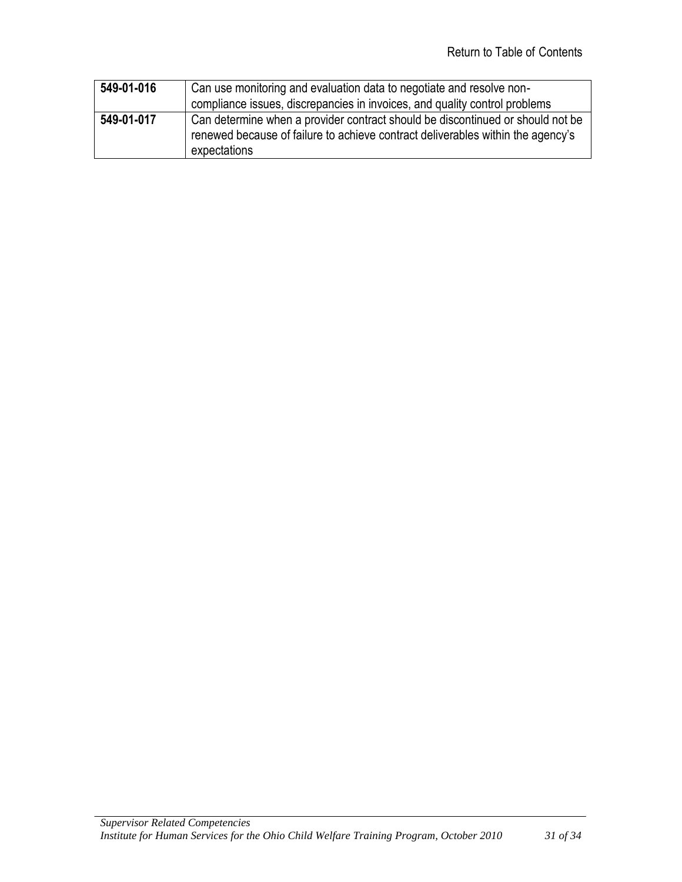| 549-01-016 | Can use monitoring and evaluation data to negotiate and resolve non-<br>compliance issues, discrepancies in invoices, and quality control problems                                |
|------------|-----------------------------------------------------------------------------------------------------------------------------------------------------------------------------------|
| 549-01-017 | Can determine when a provider contract should be discontinued or should not be<br>renewed because of failure to achieve contract deliverables within the agency's<br>expectations |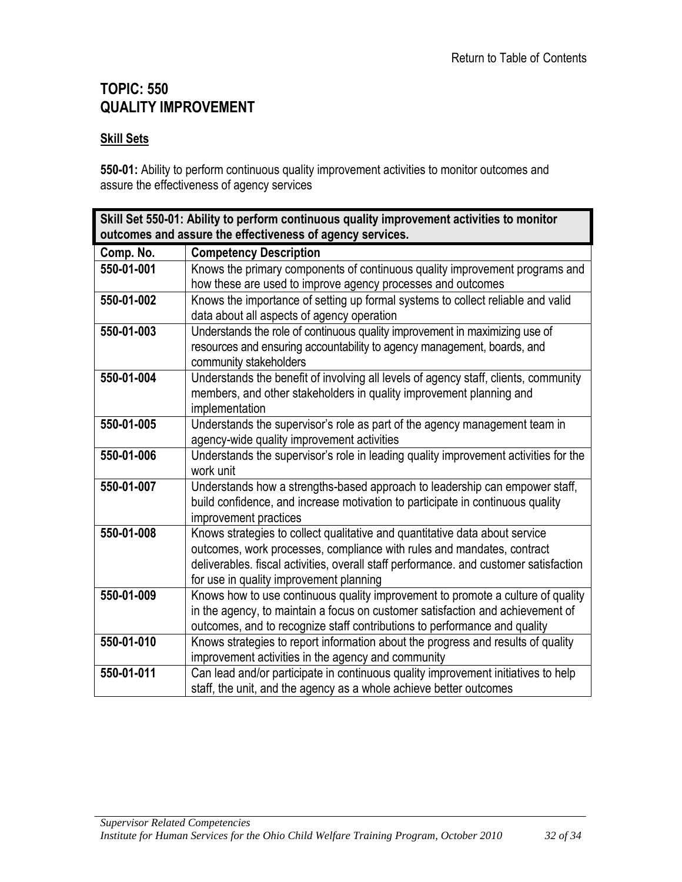# <span id="page-31-0"></span>**TOPIC: 550 QUALITY IMPROVEMENT**

#### **Skill Sets**

**550-01:** Ability to perform continuous quality improvement activities to monitor outcomes and assure the effectiveness of agency services

<span id="page-31-1"></span>

| Skill Set 550-01: Ability to perform continuous quality improvement activities to monitor |                                                                                                         |
|-------------------------------------------------------------------------------------------|---------------------------------------------------------------------------------------------------------|
| outcomes and assure the effectiveness of agency services.                                 |                                                                                                         |
| Comp. No.                                                                                 | <b>Competency Description</b>                                                                           |
| 550-01-001                                                                                | Knows the primary components of continuous quality improvement programs and                             |
|                                                                                           | how these are used to improve agency processes and outcomes                                             |
| 550-01-002                                                                                | Knows the importance of setting up formal systems to collect reliable and valid                         |
|                                                                                           | data about all aspects of agency operation                                                              |
| 550-01-003                                                                                | Understands the role of continuous quality improvement in maximizing use of                             |
|                                                                                           | resources and ensuring accountability to agency management, boards, and                                 |
|                                                                                           | community stakeholders                                                                                  |
| 550-01-004                                                                                | Understands the benefit of involving all levels of agency staff, clients, community                     |
|                                                                                           | members, and other stakeholders in quality improvement planning and                                     |
|                                                                                           | implementation                                                                                          |
| 550-01-005                                                                                | Understands the supervisor's role as part of the agency management team in                              |
|                                                                                           | agency-wide quality improvement activities                                                              |
| 550-01-006                                                                                | Understands the supervisor's role in leading quality improvement activities for the                     |
|                                                                                           | work unit                                                                                               |
| 550-01-007                                                                                | Understands how a strengths-based approach to leadership can empower staff,                             |
|                                                                                           | build confidence, and increase motivation to participate in continuous quality<br>improvement practices |
| 550-01-008                                                                                | Knows strategies to collect qualitative and quantitative data about service                             |
|                                                                                           | outcomes, work processes, compliance with rules and mandates, contract                                  |
|                                                                                           | deliverables. fiscal activities, overall staff performance. and customer satisfaction                   |
|                                                                                           | for use in quality improvement planning                                                                 |
| 550-01-009                                                                                | Knows how to use continuous quality improvement to promote a culture of quality                         |
|                                                                                           | in the agency, to maintain a focus on customer satisfaction and achievement of                          |
|                                                                                           | outcomes, and to recognize staff contributions to performance and quality                               |
| 550-01-010                                                                                | Knows strategies to report information about the progress and results of quality                        |
|                                                                                           | improvement activities in the agency and community                                                      |
| 550-01-011                                                                                | Can lead and/or participate in continuous quality improvement initiatives to help                       |
|                                                                                           | staff, the unit, and the agency as a whole achieve better outcomes                                      |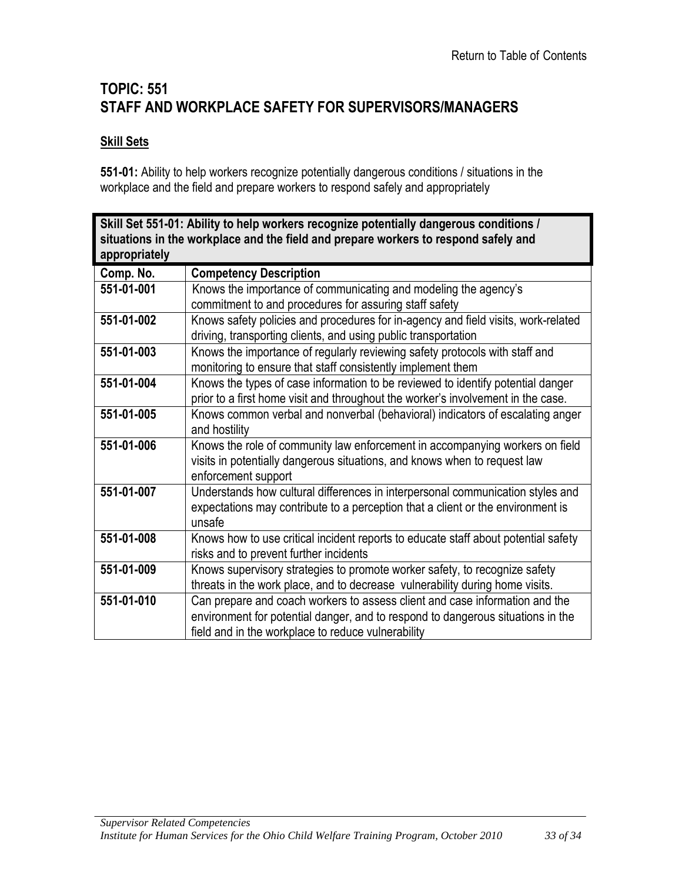# <span id="page-32-0"></span>**TOPIC: 551 STAFF AND WORKPLACE SAFETY FOR SUPERVISORS/MANAGERS**

#### **Skill Sets**

**551-01:** Ability to help workers recognize potentially dangerous conditions / situations in the workplace and the field and prepare workers to respond safely and appropriately

<span id="page-32-1"></span>

| Skill Set 551-01: Ability to help workers recognize potentially dangerous conditions /<br>situations in the workplace and the field and prepare workers to respond safely and |                                                                                                                                                                                                                      |
|-------------------------------------------------------------------------------------------------------------------------------------------------------------------------------|----------------------------------------------------------------------------------------------------------------------------------------------------------------------------------------------------------------------|
| appropriately                                                                                                                                                                 |                                                                                                                                                                                                                      |
| Comp. No.                                                                                                                                                                     | <b>Competency Description</b>                                                                                                                                                                                        |
| 551-01-001                                                                                                                                                                    | Knows the importance of communicating and modeling the agency's<br>commitment to and procedures for assuring staff safety                                                                                            |
| 551-01-002                                                                                                                                                                    | Knows safety policies and procedures for in-agency and field visits, work-related<br>driving, transporting clients, and using public transportation                                                                  |
| 551-01-003                                                                                                                                                                    | Knows the importance of regularly reviewing safety protocols with staff and<br>monitoring to ensure that staff consistently implement them                                                                           |
| 551-01-004                                                                                                                                                                    | Knows the types of case information to be reviewed to identify potential danger<br>prior to a first home visit and throughout the worker's involvement in the case.                                                  |
| 551-01-005                                                                                                                                                                    | Knows common verbal and nonverbal (behavioral) indicators of escalating anger<br>and hostility                                                                                                                       |
| 551-01-006                                                                                                                                                                    | Knows the role of community law enforcement in accompanying workers on field<br>visits in potentially dangerous situations, and knows when to request law<br>enforcement support                                     |
| 551-01-007                                                                                                                                                                    | Understands how cultural differences in interpersonal communication styles and<br>expectations may contribute to a perception that a client or the environment is<br>unsafe                                          |
| 551-01-008                                                                                                                                                                    | Knows how to use critical incident reports to educate staff about potential safety<br>risks and to prevent further incidents                                                                                         |
| 551-01-009                                                                                                                                                                    | Knows supervisory strategies to promote worker safety, to recognize safety<br>threats in the work place, and to decrease vulnerability during home visits.                                                           |
| 551-01-010                                                                                                                                                                    | Can prepare and coach workers to assess client and case information and the<br>environment for potential danger, and to respond to dangerous situations in the<br>field and in the workplace to reduce vulnerability |